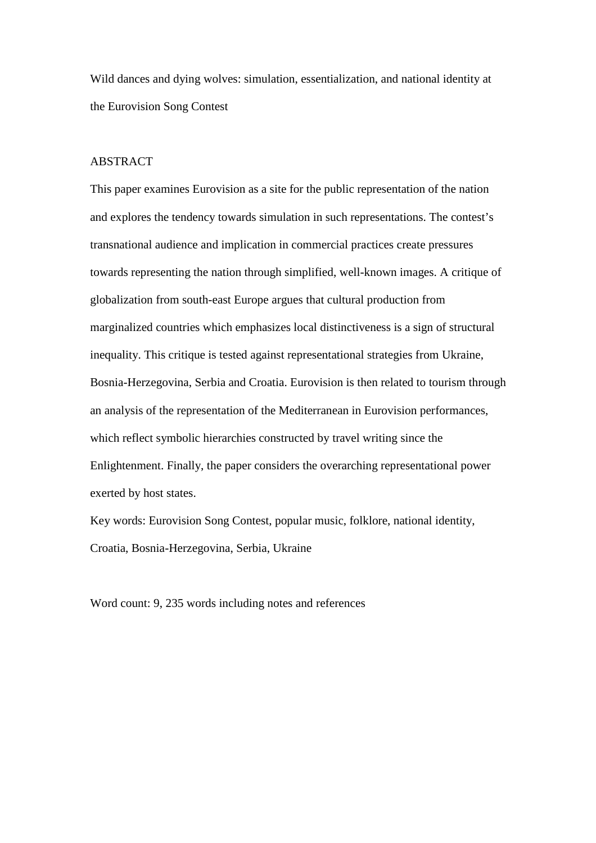Wild dances and dying wolves: simulation, essentialization, and national identity at the Eurovision Song Contest

# ABSTRACT

This paper examines Eurovision as a site for the public representation of the nation and explores the tendency towards simulation in such representations. The contest's transnational audience and implication in commercial practices create pressures towards representing the nation through simplified, well-known images. A critique of globalization from south-east Europe argues that cultural production from marginalized countries which emphasizes local distinctiveness is a sign of structural inequality. This critique is tested against representational strategies from Ukraine, Bosnia-Herzegovina, Serbia and Croatia. Eurovision is then related to tourism through an analysis of the representation of the Mediterranean in Eurovision performances, which reflect symbolic hierarchies constructed by travel writing since the Enlightenment. Finally, the paper considers the overarching representational power exerted by host states.

Key words: Eurovision Song Contest, popular music, folklore, national identity, Croatia, Bosnia-Herzegovina, Serbia, Ukraine

Word count: 9, 235 words including notes and references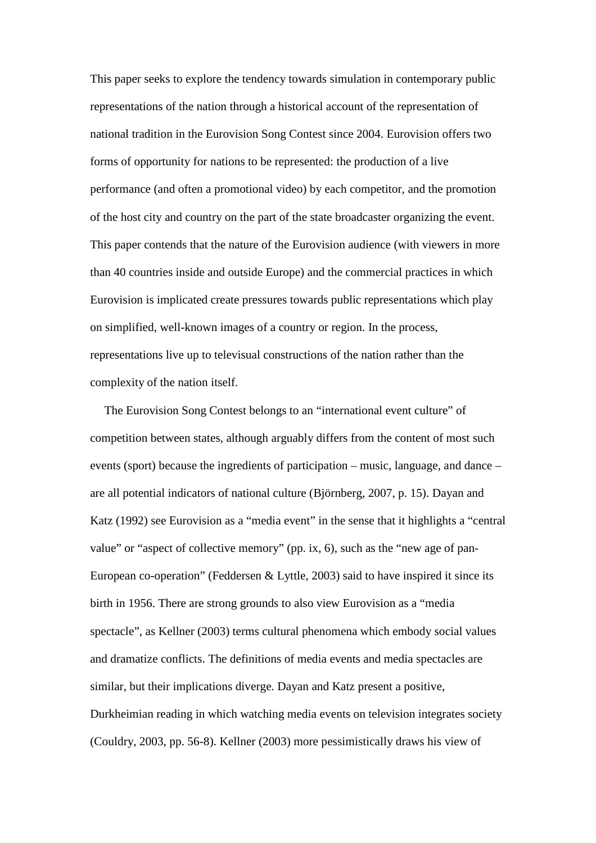This paper seeks to explore the tendency towards simulation in contemporary public representations of the nation through a historical account of the representation of national tradition in the Eurovision Song Contest since 2004. Eurovision offers two forms of opportunity for nations to be represented: the production of a live performance (and often a promotional video) by each competitor, and the promotion of the host city and country on the part of the state broadcaster organizing the event. This paper contends that the nature of the Eurovision audience (with viewers in more than 40 countries inside and outside Europe) and the commercial practices in which Eurovision is implicated create pressures towards public representations which play on simplified, well-known images of a country or region. In the process, representations live up to televisual constructions of the nation rather than the complexity of the nation itself.

The Eurovision Song Contest belongs to an "international event culture" of competition between states, although arguably differs from the content of most such events (sport) because the ingredients of participation – music, language, and dance – are all potential indicators of national culture (Björnberg, 2007, p. 15). Dayan and Katz (1992) see Eurovision as a "media event" in the sense that it highlights a "central value" or "aspect of collective memory" (pp. ix, 6), such as the "new age of pan-European co-operation" (Feddersen & Lyttle, 2003) said to have inspired it since its birth in 1956. There are strong grounds to also view Eurovision as a "media spectacle", as Kellner (2003) terms cultural phenomena which embody social values and dramatize conflicts. The definitions of media events and media spectacles are similar, but their implications diverge. Dayan and Katz present a positive, Durkheimian reading in which watching media events on television integrates society (Couldry, 2003, pp. 56-8). Kellner (2003) more pessimistically draws his view of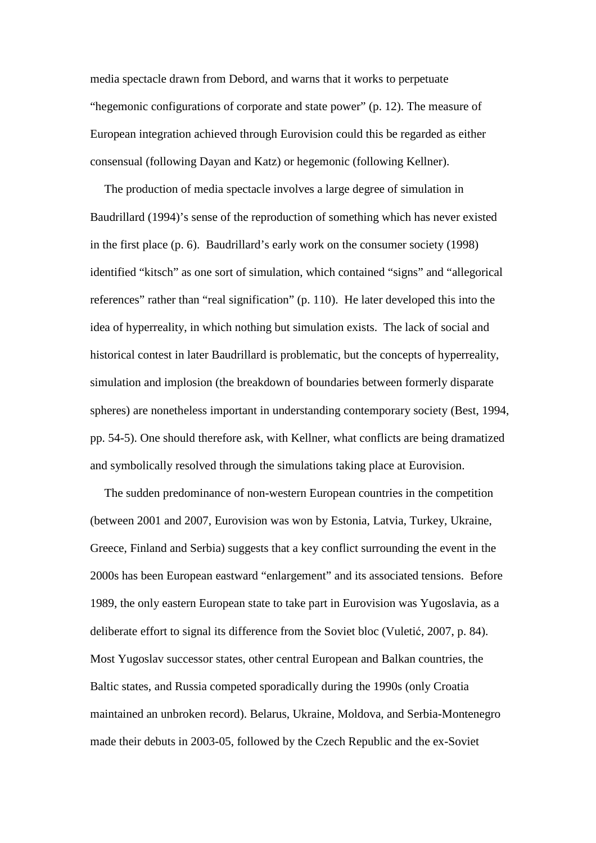media spectacle drawn from Debord, and warns that it works to perpetuate "hegemonic configurations of corporate and state power" (p. 12). The measure of European integration achieved through Eurovision could this be regarded as either consensual (following Dayan and Katz) or hegemonic (following Kellner).

The production of media spectacle involves a large degree of simulation in Baudrillard (1994)'s sense of the reproduction of something which has never existed in the first place (p. 6). Baudrillard's early work on the consumer society (1998) identified "kitsch" as one sort of simulation, which contained "signs" and "allegorical references" rather than "real signification" (p. 110). He later developed this into the idea of hyperreality, in which nothing but simulation exists. The lack of social and historical contest in later Baudrillard is problematic, but the concepts of hyperreality, simulation and implosion (the breakdown of boundaries between formerly disparate spheres) are nonetheless important in understanding contemporary society (Best, 1994, pp. 54-5). One should therefore ask, with Kellner, what conflicts are being dramatized and symbolically resolved through the simulations taking place at Eurovision.

The sudden predominance of non-western European countries in the competition (between 2001 and 2007, Eurovision was won by Estonia, Latvia, Turkey, Ukraine, Greece, Finland and Serbia) suggests that a key conflict surrounding the event in the 2000s has been European eastward "enlargement" and its associated tensions. Before 1989, the only eastern European state to take part in Eurovision was Yugoslavia, as a deliberate effort to signal its difference from the Soviet bloc (Vuletić, 2007, p. 84). Most Yugoslav successor states, other central European and Balkan countries, the Baltic states, and Russia competed sporadically during the 1990s (only Croatia maintained an unbroken record). Belarus, Ukraine, Moldova, and Serbia-Montenegro made their debuts in 2003-05, followed by the Czech Republic and the ex-Soviet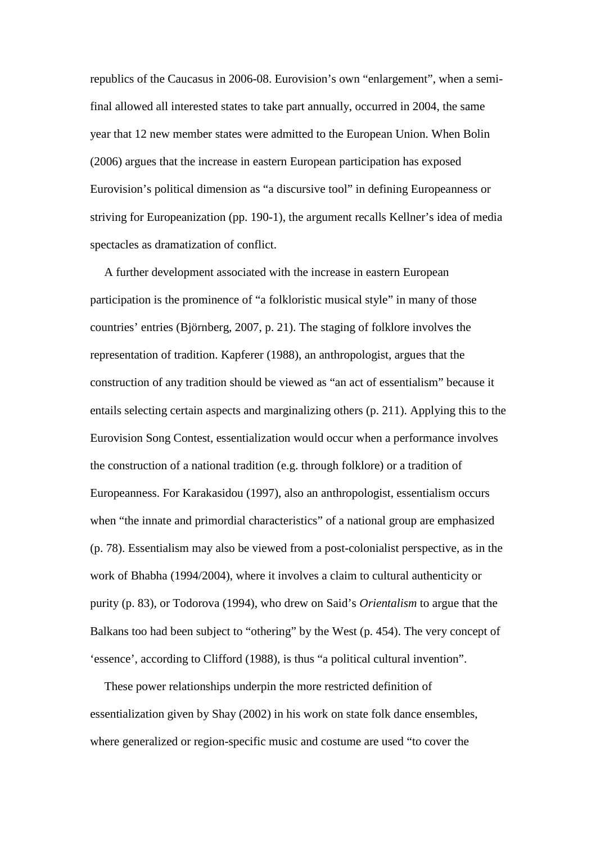republics of the Caucasus in 2006-08. Eurovision's own "enlargement", when a semifinal allowed all interested states to take part annually, occurred in 2004, the same year that 12 new member states were admitted to the European Union. When Bolin (2006) argues that the increase in eastern European participation has exposed Eurovision's political dimension as "a discursive tool" in defining Europeanness or striving for Europeanization (pp. 190-1), the argument recalls Kellner's idea of media spectacles as dramatization of conflict.

A further development associated with the increase in eastern European participation is the prominence of "a folkloristic musical style" in many of those countries' entries (Björnberg, 2007, p. 21). The staging of folklore involves the representation of tradition. Kapferer (1988), an anthropologist, argues that the construction of any tradition should be viewed as "an act of essentialism" because it entails selecting certain aspects and marginalizing others (p. 211). Applying this to the Eurovision Song Contest, essentialization would occur when a performance involves the construction of a national tradition (e.g. through folklore) or a tradition of Europeanness. For Karakasidou (1997), also an anthropologist, essentialism occurs when "the innate and primordial characteristics" of a national group are emphasized (p. 78). Essentialism may also be viewed from a post-colonialist perspective, as in the work of Bhabha (1994/2004), where it involves a claim to cultural authenticity or purity (p. 83), or Todorova (1994), who drew on Said's *Orientalism* to argue that the Balkans too had been subject to "othering" by the West (p. 454). The very concept of 'essence', according to Clifford (1988), is thus "a political cultural invention".

These power relationships underpin the more restricted definition of essentialization given by Shay (2002) in his work on state folk dance ensembles, where generalized or region-specific music and costume are used "to cover the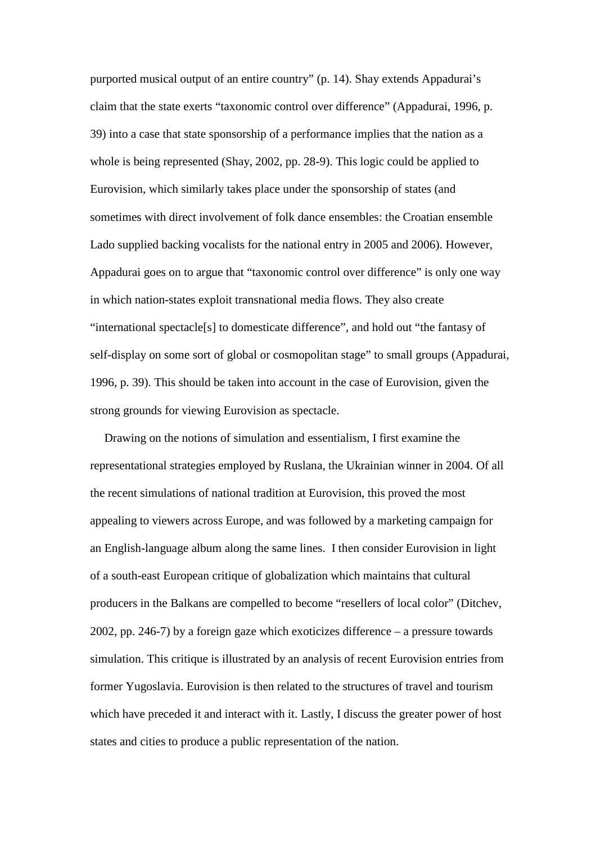purported musical output of an entire country" (p. 14). Shay extends Appadurai's claim that the state exerts "taxonomic control over difference" (Appadurai, 1996, p. 39) into a case that state sponsorship of a performance implies that the nation as a whole is being represented (Shay, 2002, pp. 28-9). This logic could be applied to Eurovision, which similarly takes place under the sponsorship of states (and sometimes with direct involvement of folk dance ensembles: the Croatian ensemble Lado supplied backing vocalists for the national entry in 2005 and 2006). However, Appadurai goes on to argue that "taxonomic control over difference" is only one way in which nation-states exploit transnational media flows. They also create "international spectacle[s] to domesticate difference", and hold out "the fantasy of self-display on some sort of global or cosmopolitan stage" to small groups (Appadurai, 1996, p. 39). This should be taken into account in the case of Eurovision, given the strong grounds for viewing Eurovision as spectacle.

Drawing on the notions of simulation and essentialism, I first examine the representational strategies employed by Ruslana, the Ukrainian winner in 2004. Of all the recent simulations of national tradition at Eurovision, this proved the most appealing to viewers across Europe, and was followed by a marketing campaign for an English-language album along the same lines. I then consider Eurovision in light of a south-east European critique of globalization which maintains that cultural producers in the Balkans are compelled to become "resellers of local color" (Ditchev, 2002, pp. 246-7) by a foreign gaze which exoticizes difference – a pressure towards simulation. This critique is illustrated by an analysis of recent Eurovision entries from former Yugoslavia. Eurovision is then related to the structures of travel and tourism which have preceded it and interact with it. Lastly, I discuss the greater power of host states and cities to produce a public representation of the nation.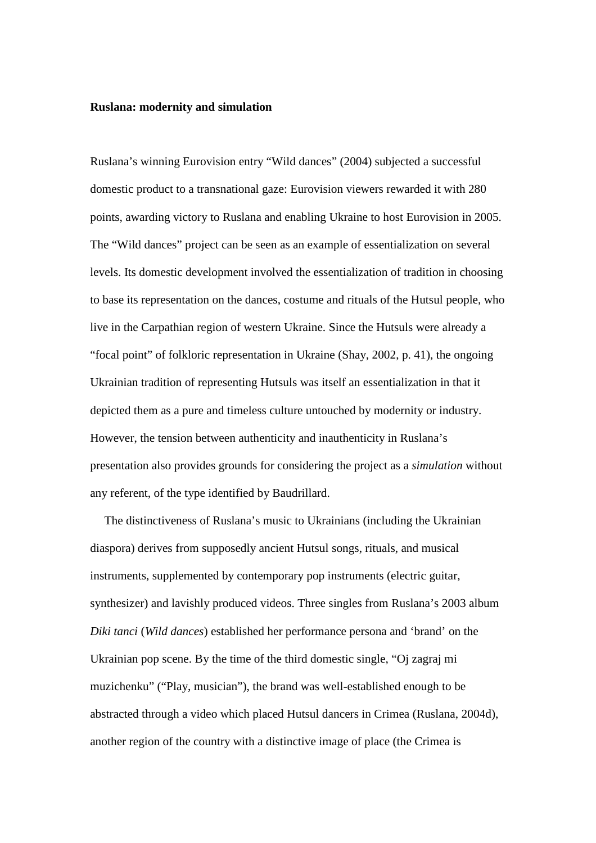#### **Ruslana: modernity and simulation**

Ruslana's winning Eurovision entry "Wild dances" (2004) subjected a successful domestic product to a transnational gaze: Eurovision viewers rewarded it with 280 points, awarding victory to Ruslana and enabling Ukraine to host Eurovision in 2005. The "Wild dances" project can be seen as an example of essentialization on several levels. Its domestic development involved the essentialization of tradition in choosing to base its representation on the dances, costume and rituals of the Hutsul people, who live in the Carpathian region of western Ukraine. Since the Hutsuls were already a "focal point" of folkloric representation in Ukraine (Shay, 2002, p. 41), the ongoing Ukrainian tradition of representing Hutsuls was itself an essentialization in that it depicted them as a pure and timeless culture untouched by modernity or industry. However, the tension between authenticity and inauthenticity in Ruslana's presentation also provides grounds for considering the project as a *simulation* without any referent, of the type identified by Baudrillard.

The distinctiveness of Ruslana's music to Ukrainians (including the Ukrainian diaspora) derives from supposedly ancient Hutsul songs, rituals, and musical instruments, supplemented by contemporary pop instruments (electric guitar, synthesizer) and lavishly produced videos. Three singles from Ruslana's 2003 album *Diki tanci* (*Wild dances*) established her performance persona and 'brand' on the Ukrainian pop scene. By the time of the third domestic single, "Oj zagraj mi muzichenku" ("Play, musician"), the brand was well-established enough to be abstracted through a video which placed Hutsul dancers in Crimea (Ruslana, 2004d), another region of the country with a distinctive image of place (the Crimea is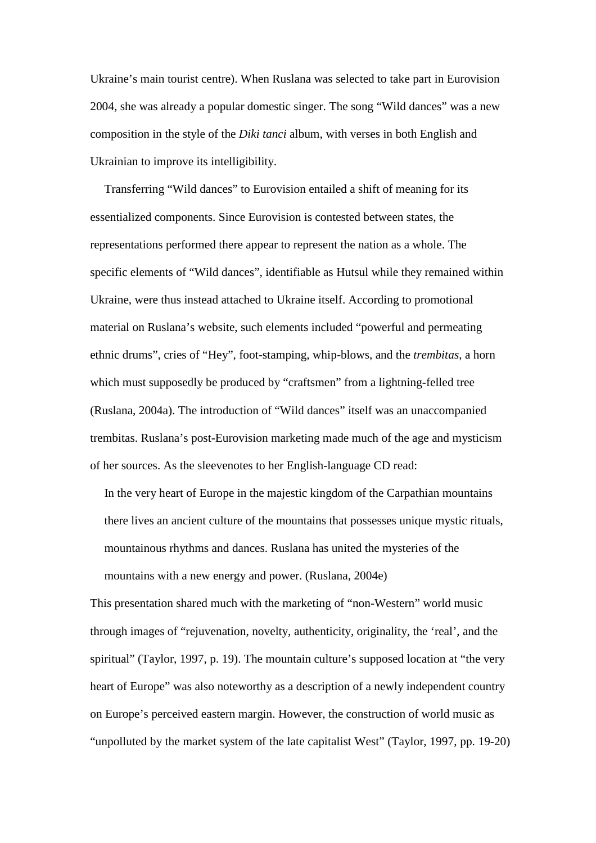Ukraine's main tourist centre). When Ruslana was selected to take part in Eurovision 2004, she was already a popular domestic singer. The song "Wild dances" was a new composition in the style of the *Diki tanci* album, with verses in both English and Ukrainian to improve its intelligibility.

Transferring "Wild dances" to Eurovision entailed a shift of meaning for its essentialized components. Since Eurovision is contested between states, the representations performed there appear to represent the nation as a whole. The specific elements of "Wild dances", identifiable as Hutsul while they remained within Ukraine, were thus instead attached to Ukraine itself. According to promotional material on Ruslana's website, such elements included "powerful and permeating ethnic drums", cries of "Hey", foot-stamping, whip-blows, and the *trembitas*, a horn which must supposedly be produced by "craftsmen" from a lightning-felled tree (Ruslana, 2004a). The introduction of "Wild dances" itself was an unaccompanied trembitas. Ruslana's post-Eurovision marketing made much of the age and mysticism of her sources. As the sleevenotes to her English-language CD read:

In the very heart of Europe in the majestic kingdom of the Carpathian mountains there lives an ancient culture of the mountains that possesses unique mystic rituals, mountainous rhythms and dances. Ruslana has united the mysteries of the mountains with a new energy and power. (Ruslana, 2004e)

This presentation shared much with the marketing of "non-Western" world music through images of "rejuvenation, novelty, authenticity, originality, the 'real', and the spiritual" (Taylor, 1997, p. 19). The mountain culture's supposed location at "the very heart of Europe" was also noteworthy as a description of a newly independent country on Europe's perceived eastern margin. However, the construction of world music as "unpolluted by the market system of the late capitalist West" (Taylor, 1997, pp. 19-20)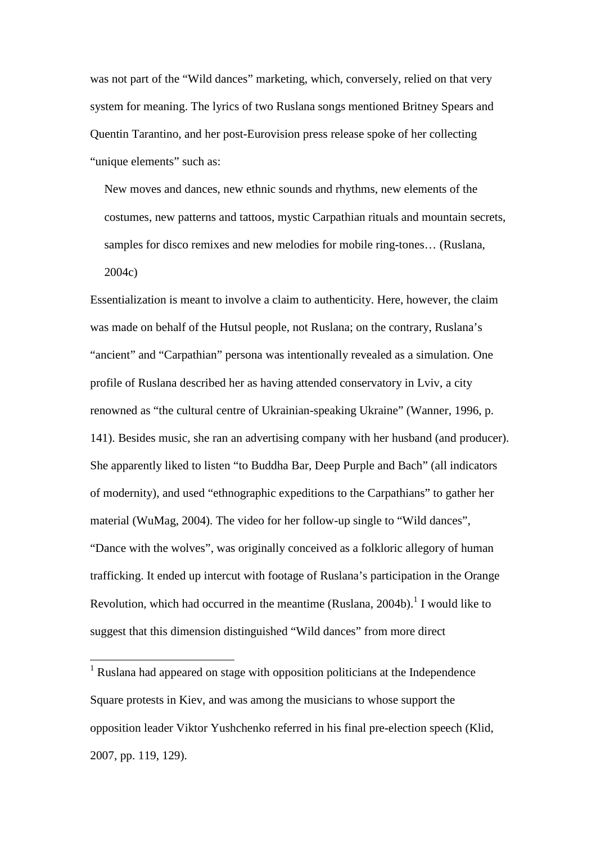was not part of the "Wild dances" marketing, which, conversely, relied on that very system for meaning. The lyrics of two Ruslana songs mentioned Britney Spears and Quentin Tarantino, and her post-Eurovision press release spoke of her collecting "unique elements" such as:

New moves and dances, new ethnic sounds and rhythms, new elements of the costumes, new patterns and tattoos, mystic Carpathian rituals and mountain secrets, samples for disco remixes and new melodies for mobile ring-tones… (Ruslana, 2004c)

Essentialization is meant to involve a claim to authenticity. Here, however, the claim was made on behalf of the Hutsul people, not Ruslana; on the contrary, Ruslana's "ancient" and "Carpathian" persona was intentionally revealed as a simulation. One profile of Ruslana described her as having attended conservatory in Lviv, a city renowned as "the cultural centre of Ukrainian-speaking Ukraine" (Wanner, 1996, p. 141). Besides music, she ran an advertising company with her husband (and producer). She apparently liked to listen "to Buddha Bar, Deep Purple and Bach" (all indicators of modernity), and used "ethnographic expeditions to the Carpathians" to gather her material (WuMag, 2004). The video for her follow-up single to "Wild dances", "Dance with the wolves", was originally conceived as a folkloric allegory of human trafficking. It ended up intercut with footage of Ruslana's participation in the Orange Revolution, which had occurred in the meantime (Ruslana, 2004b). I would like to suggest that this dimension distinguished "Wild dances" from more direct

<span id="page-7-0"></span><sup>1</sup> Ruslana had appeared on stage with opposition politicians at the Independence Square protests in Kiev, and was among the musicians to whose support the opposition leader Viktor Yushchenko referred in his final pre-election speech (Klid, 2007, pp. 119, 129).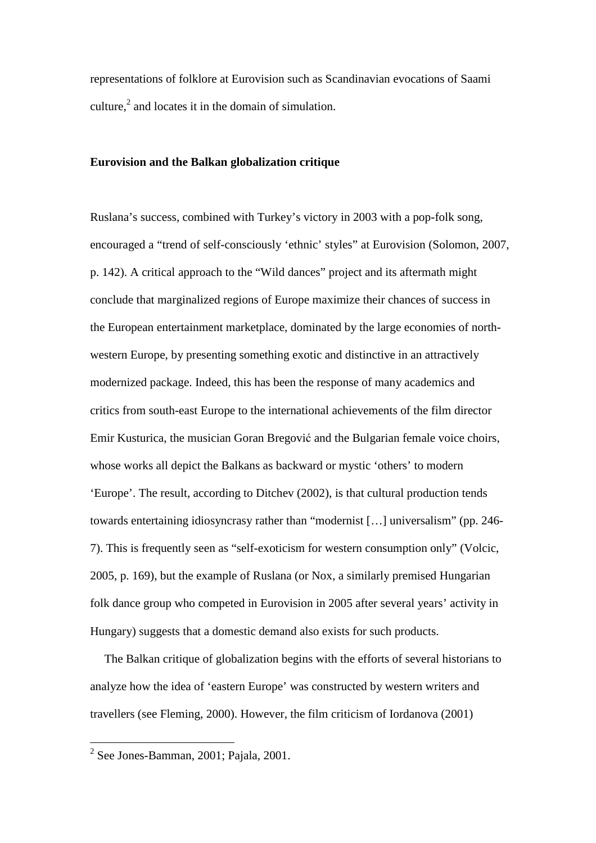representations of folklore at Eurovision such as Scandinavian evocations of Saami culture, [2](#page-8-0) and locates it in the domain of simulation.

# **Eurovision and the Balkan globalization critique**

Ruslana's success, combined with Turkey's victory in 2003 with a pop-folk song, encouraged a "trend of self-consciously 'ethnic' styles" at Eurovision (Solomon, 2007, p. 142). A critical approach to the "Wild dances" project and its aftermath might conclude that marginalized regions of Europe maximize their chances of success in the European entertainment marketplace, dominated by the large economies of northwestern Europe, by presenting something exotic and distinctive in an attractively modernized package. Indeed, this has been the response of many academics and critics from south-east Europe to the international achievements of the film director Emir Kusturica, the musician Goran Bregović and the Bulgarian female voice choirs, whose works all depict the Balkans as backward or mystic 'others' to modern 'Europe'. The result, according to Ditchev (2002), is that cultural production tends towards entertaining idiosyncrasy rather than "modernist […] universalism" (pp. 246- 7). This is frequently seen as "self-exoticism for western consumption only" (Volcic, 2005, p. 169), but the example of Ruslana (or Nox, a similarly premised Hungarian folk dance group who competed in Eurovision in 2005 after several years' activity in Hungary) suggests that a domestic demand also exists for such products.

The Balkan critique of globalization begins with the efforts of several historians to analyze how the idea of 'eastern Europe' was constructed by western writers and travellers (see Fleming, 2000). However, the film criticism of Iordanova (2001)

<span id="page-8-0"></span><sup>&</sup>lt;sup>2</sup> See Jones-Bamman, 2001; Pajala, 2001.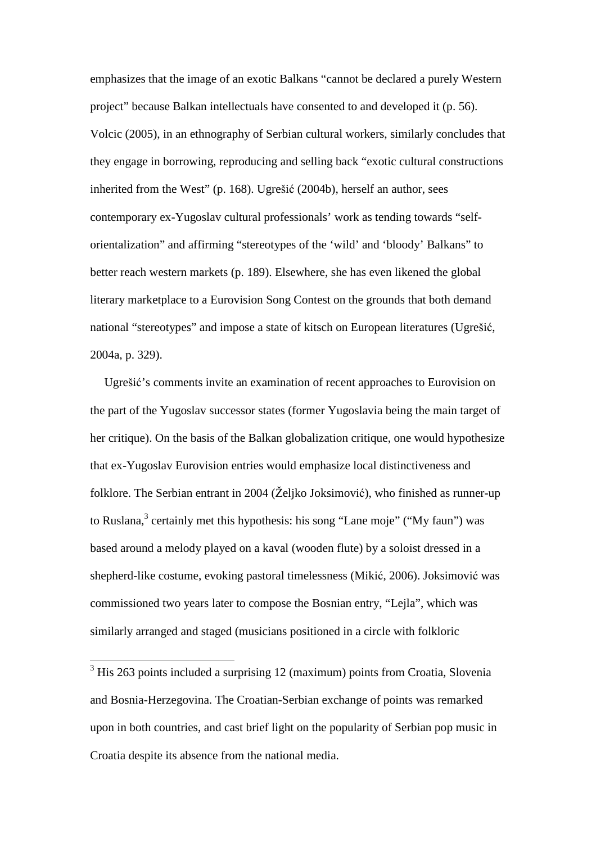emphasizes that the image of an exotic Balkans "cannot be declared a purely Western project" because Balkan intellectuals have consented to and developed it (p. 56). Volcic (2005), in an ethnography of Serbian cultural workers, similarly concludes that they engage in borrowing, reproducing and selling back "exotic cultural constructions inherited from the West" (p. 168). Ugrešić (2004b), herself an author, sees contemporary ex-Yugoslav cultural professionals' work as tending towards "selforientalization" and affirming "stereotypes of the 'wild' and 'bloody' Balkans" to better reach western markets (p. 189). Elsewhere, she has even likened the global literary marketplace to a Eurovision Song Contest on the grounds that both demand national "stereotypes" and impose a state of kitsch on European literatures (Ugrešić, 2004a, p. 329).

Ugrešić's comments invite an examination of recent approaches to Eurovision on the part of the Yugoslav successor states (former Yugoslavia being the main target of her critique). On the basis of the Balkan globalization critique, one would hypothesize that ex-Yugoslav Eurovision entries would emphasize local distinctiveness and folklore. The Serbian entrant in 2004 (Željko Joksimović), who finished as runner-up to Ruslana,<sup>[3](#page-9-0)</sup> certainly met this hypothesis: his song "Lane moje" ("My faun") was based around a melody played on a kaval (wooden flute) by a soloist dressed in a shepherd-like costume, evoking pastoral timelessness (Mikić, 2006). Joksimović was commissioned two years later to compose the Bosnian entry, "Lejla", which was similarly arranged and staged (musicians positioned in a circle with folkloric

<span id="page-9-0"></span> $3$  His 263 points included a surprising 12 (maximum) points from Croatia, Slovenia and Bosnia-Herzegovina. The Croatian-Serbian exchange of points was remarked upon in both countries, and cast brief light on the popularity of Serbian pop music in Croatia despite its absence from the national media.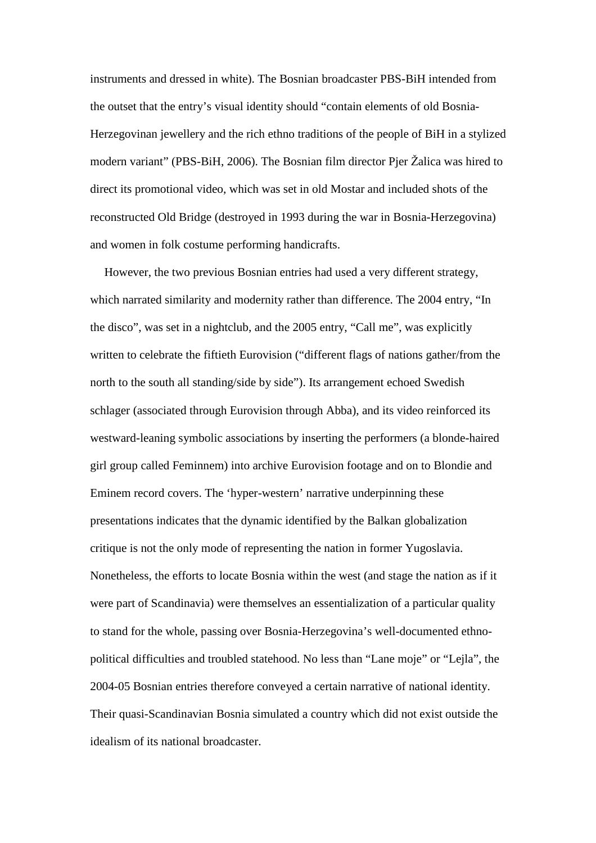instruments and dressed in white). The Bosnian broadcaster PBS-BiH intended from the outset that the entry's visual identity should "contain elements of old Bosnia-Herzegovinan jewellery and the rich ethno traditions of the people of BiH in a stylized modern variant" (PBS-BiH, 2006). The Bosnian film director Pjer Žalica was hired to direct its promotional video, which was set in old Mostar and included shots of the reconstructed Old Bridge (destroyed in 1993 during the war in Bosnia-Herzegovina) and women in folk costume performing handicrafts.

However, the two previous Bosnian entries had used a very different strategy, which narrated similarity and modernity rather than difference. The 2004 entry, "In the disco", was set in a nightclub, and the 2005 entry, "Call me", was explicitly written to celebrate the fiftieth Eurovision ("different flags of nations gather/from the north to the south all standing/side by side"). Its arrangement echoed Swedish schlager (associated through Eurovision through Abba), and its video reinforced its westward-leaning symbolic associations by inserting the performers (a blonde-haired girl group called Feminnem) into archive Eurovision footage and on to Blondie and Eminem record covers. The 'hyper-western' narrative underpinning these presentations indicates that the dynamic identified by the Balkan globalization critique is not the only mode of representing the nation in former Yugoslavia. Nonetheless, the efforts to locate Bosnia within the west (and stage the nation as if it were part of Scandinavia) were themselves an essentialization of a particular quality to stand for the whole, passing over Bosnia-Herzegovina's well-documented ethnopolitical difficulties and troubled statehood. No less than "Lane moje" or "Lejla", the 2004-05 Bosnian entries therefore conveyed a certain narrative of national identity. Their quasi-Scandinavian Bosnia simulated a country which did not exist outside the idealism of its national broadcaster.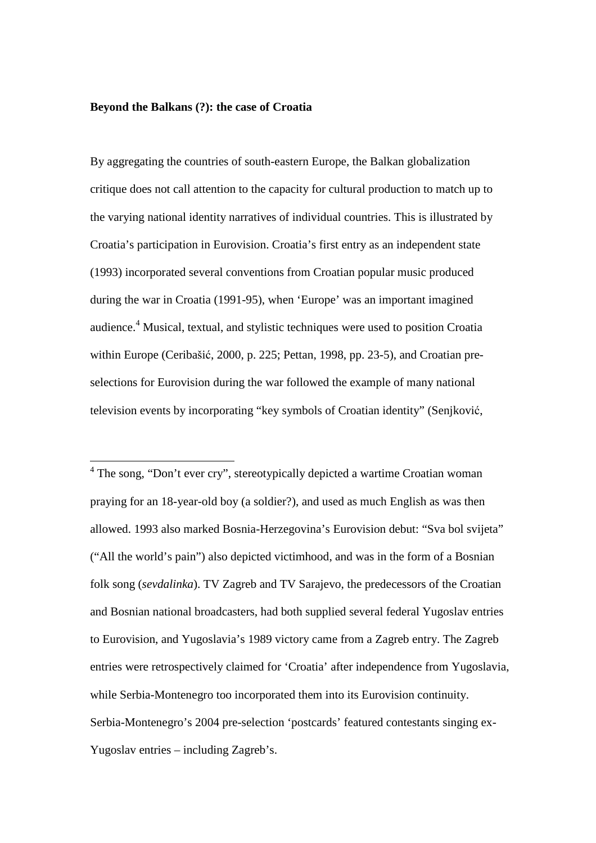### **Beyond the Balkans (?): the case of Croatia**

By aggregating the countries of south-eastern Europe, the Balkan globalization critique does not call attention to the capacity for cultural production to match up to the varying national identity narratives of individual countries. This is illustrated by Croatia's participation in Eurovision. Croatia's first entry as an independent state (1993) incorporated several conventions from Croatian popular music produced during the war in Croatia (1991-95), when 'Europe' was an important imagined audience.[4](#page-11-0) Musical, textual, and stylistic techniques were used to position Croatia within Europe (Ceribašić, 2000, p. 225; Pettan, 1998, pp. 23-5), and Croatian preselections for Eurovision during the war followed the example of many national television events by incorporating "key symbols of Croatian identity" (Senjković,

<span id="page-11-0"></span> $4$  The song, "Don't ever cry", stereotypically depicted a wartime Croatian woman praying for an 18-year-old boy (a soldier?), and used as much English as was then allowed. 1993 also marked Bosnia-Herzegovina's Eurovision debut: "Sva bol svijeta" ("All the world's pain") also depicted victimhood, and was in the form of a Bosnian folk song (*sevdalinka*). TV Zagreb and TV Sarajevo, the predecessors of the Croatian and Bosnian national broadcasters, had both supplied several federal Yugoslav entries to Eurovision, and Yugoslavia's 1989 victory came from a Zagreb entry. The Zagreb entries were retrospectively claimed for 'Croatia' after independence from Yugoslavia, while Serbia-Montenegro too incorporated them into its Eurovision continuity. Serbia-Montenegro's 2004 pre-selection 'postcards' featured contestants singing ex-Yugoslav entries – including Zagreb's.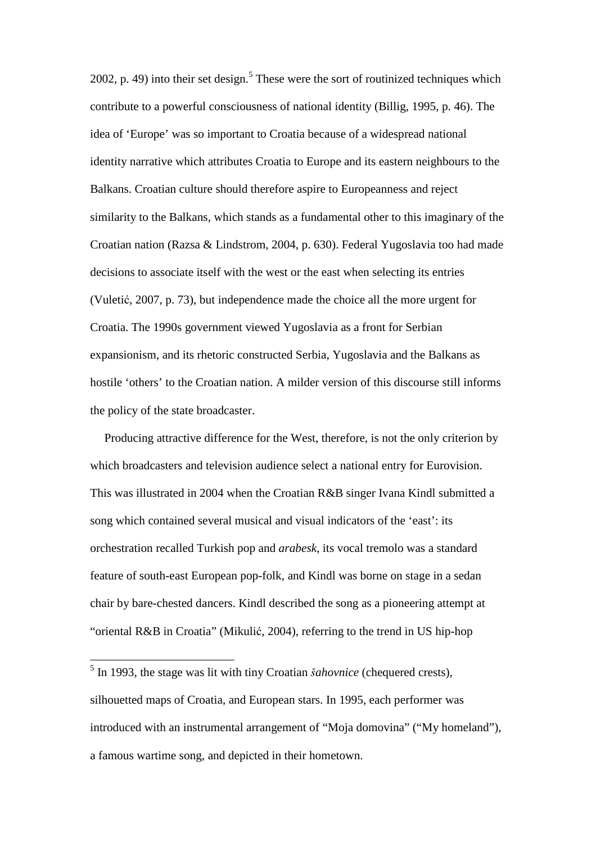2002, p. 49) into their set design.<sup>[5](#page-12-0)</sup> These were the sort of routinized techniques which contribute to a powerful consciousness of national identity (Billig, 1995, p. 46). The idea of 'Europe' was so important to Croatia because of a widespread national identity narrative which attributes Croatia to Europe and its eastern neighbours to the Balkans. Croatian culture should therefore aspire to Europeanness and reject similarity to the Balkans, which stands as a fundamental other to this imaginary of the Croatian nation (Razsa & Lindstrom, 2004, p. 630). Federal Yugoslavia too had made decisions to associate itself with the west or the east when selecting its entries (Vuletić, 2007, p. 73), but independence made the choice all the more urgent for Croatia. The 1990s government viewed Yugoslavia as a front for Serbian expansionism, and its rhetoric constructed Serbia, Yugoslavia and the Balkans as hostile 'others' to the Croatian nation. A milder version of this discourse still informs the policy of the state broadcaster.

Producing attractive difference for the West, therefore, is not the only criterion by which broadcasters and television audience select a national entry for Eurovision. This was illustrated in 2004 when the Croatian R&B singer Ivana Kindl submitted a song which contained several musical and visual indicators of the 'east': its orchestration recalled Turkish pop and *arabesk*, its vocal tremolo was a standard feature of south-east European pop-folk, and Kindl was borne on stage in a sedan chair by bare-chested dancers. Kindl described the song as a pioneering attempt at "oriental R&B in Croatia" (Mikulić, 2004), referring to the trend in US hip-hop

<span id="page-12-0"></span>5 In 1993, the stage was lit with tiny Croatian *šahovnice* (chequered crests), silhouetted maps of Croatia, and European stars. In 1995, each performer was introduced with an instrumental arrangement of "Moja domovina" ("My homeland"), a famous wartime song, and depicted in their hometown.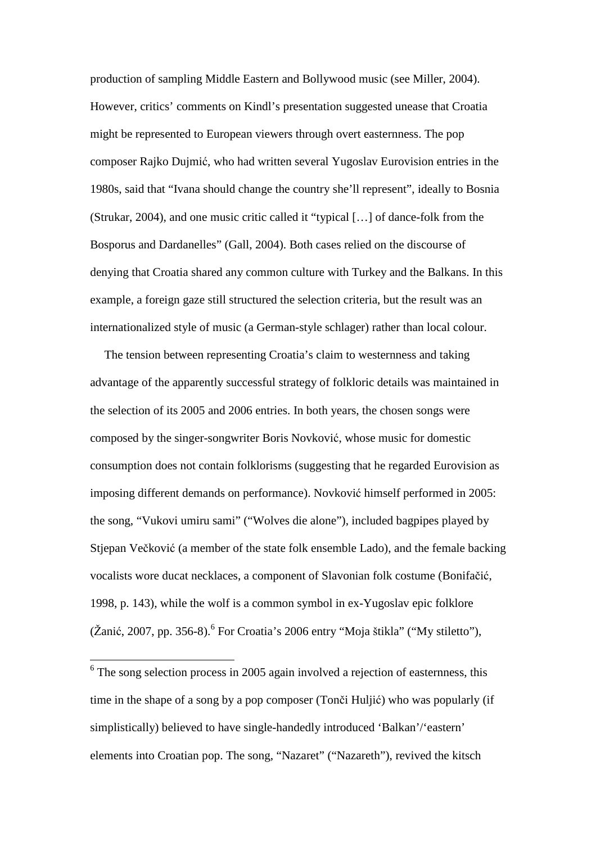production of sampling Middle Eastern and Bollywood music (see Miller, 2004). However, critics' comments on Kindl's presentation suggested unease that Croatia might be represented to European viewers through overt easternness. The pop composer Rajko Dujmić, who had written several Yugoslav Eurovision entries in the 1980s, said that "Ivana should change the country she'll represent", ideally to Bosnia (Strukar, 2004), and one music critic called it "typical […] of dance-folk from the Bosporus and Dardanelles" (Gall, 2004). Both cases relied on the discourse of denying that Croatia shared any common culture with Turkey and the Balkans. In this example, a foreign gaze still structured the selection criteria, but the result was an internationalized style of music (a German-style schlager) rather than local colour.

The tension between representing Croatia's claim to westernness and taking advantage of the apparently successful strategy of folkloric details was maintained in the selection of its 2005 and 2006 entries. In both years, the chosen songs were composed by the singer-songwriter Boris Novković, whose music for domestic consumption does not contain folklorisms (suggesting that he regarded Eurovision as imposing different demands on performance). Novković himself performed in 2005: the song, "Vukovi umiru sami" ("Wolves die alone"), included bagpipes played by Stjepan Večković (a member of the state folk ensemble Lado), and the female backing vocalists wore ducat necklaces, a component of Slavonian folk costume (Bonifačić, 1998, p. 143), while the wolf is a common symbol in ex-Yugoslav epic folklore (Žanić, 2007, pp. 35[6](#page-13-0)-8).<sup>6</sup> For Croatia's 2006 entry "Moja štikla" ("My stiletto"),

<span id="page-13-0"></span><sup>&</sup>lt;sup>6</sup> The song selection process in 2005 again involved a rejection of easternness, this time in the shape of a song by a pop composer (Tonči Huljić) who was popularly (if simplistically) believed to have single-handedly introduced 'Balkan'/'eastern' elements into Croatian pop. The song, "Nazaret" ("Nazareth"), revived the kitsch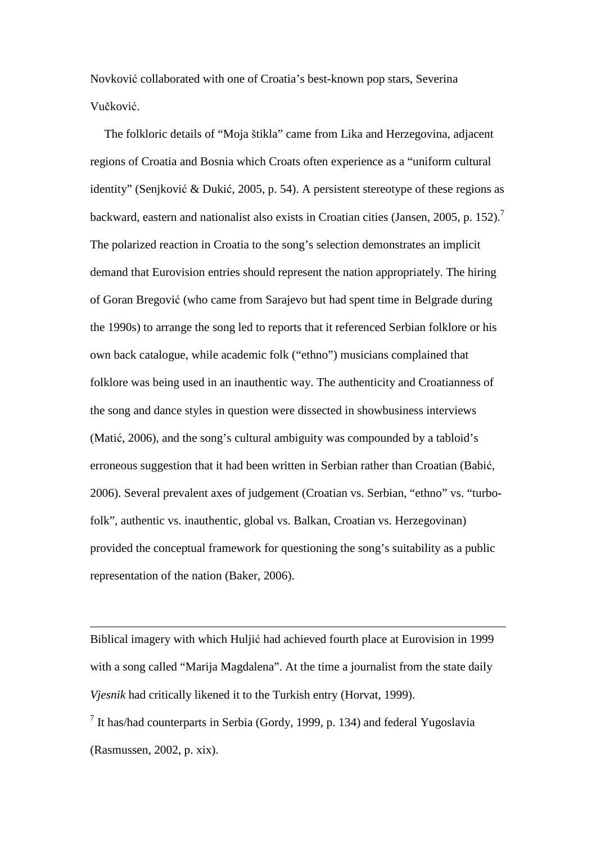Novković collaborated with one of Croatia's best-known pop stars, Severina Vučković.

The folkloric details of "Moja štikla" came from Lika and Herzegovina, adjacent regions of Croatia and Bosnia which Croats often experience as a "uniform cultural identity" (Senjković & Dukić, 2005, p. 54). A persistent stereotype of these regions as backward,eastern and nationalist also exists in Croatian cities (Jansen, 2005, p. 152).<sup>7</sup> The polarized reaction in Croatia to the song's selection demonstrates an implicit demand that Eurovision entries should represent the nation appropriately. The hiring of Goran Bregović (who came from Sarajevo but had spent time in Belgrade during the 1990s) to arrange the song led to reports that it referenced Serbian folklore or his own back catalogue, while academic folk ("ethno") musicians complained that folklore was being used in an inauthentic way. The authenticity and Croatianness of the song and dance styles in question were dissected in showbusiness interviews (Matić, 2006), and the song's cultural ambiguity was compounded by a tabloid's erroneous suggestion that it had been written in Serbian rather than Croatian (Babić, 2006). Several prevalent axes of judgement (Croatian vs. Serbian, "ethno" vs. "turbofolk", authentic vs. inauthentic, global vs. Balkan, Croatian vs. Herzegovinan) provided the conceptual framework for questioning the song's suitability as a public representation of the nation (Baker, 2006).

Biblical imagery with which Huljić had achieved fourth place at Eurovision in 1999 with a song called "Marija Magdalena". At the time a journalist from the state daily *Vjesnik* had critically likened it to the Turkish entry (Horvat, 1999). <sup>7</sup> It has/had counterparts in Serbia (Gordy, 1999, p. 134) and federal Yugoslavia

<span id="page-14-0"></span>(Rasmussen, 2002, p. xix).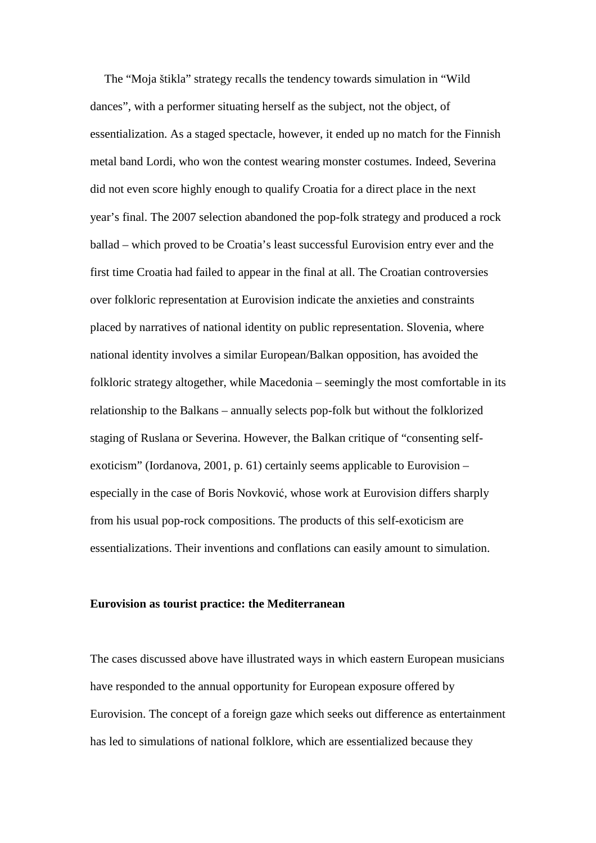The "Moja štikla" strategy recalls the tendency towards simulation in "Wild dances", with a performer situating herself as the subject, not the object, of essentialization. As a staged spectacle, however, it ended up no match for the Finnish metal band Lordi, who won the contest wearing monster costumes. Indeed, Severina did not even score highly enough to qualify Croatia for a direct place in the next year's final. The 2007 selection abandoned the pop-folk strategy and produced a rock ballad – which proved to be Croatia's least successful Eurovision entry ever and the first time Croatia had failed to appear in the final at all. The Croatian controversies over folkloric representation at Eurovision indicate the anxieties and constraints placed by narratives of national identity on public representation. Slovenia, where national identity involves a similar European/Balkan opposition, has avoided the folkloric strategy altogether, while Macedonia – seemingly the most comfortable in its relationship to the Balkans – annually selects pop-folk but without the folklorized staging of Ruslana or Severina. However, the Balkan critique of "consenting selfexoticism" (Iordanova, 2001, p. 61) certainly seems applicable to Eurovision – especially in the case of Boris Novković, whose work at Eurovision differs sharply from his usual pop-rock compositions. The products of this self-exoticism are essentializations. Their inventions and conflations can easily amount to simulation.

### **Eurovision as tourist practice: the Mediterranean**

The cases discussed above have illustrated ways in which eastern European musicians have responded to the annual opportunity for European exposure offered by Eurovision. The concept of a foreign gaze which seeks out difference as entertainment has led to simulations of national folklore, which are essentialized because they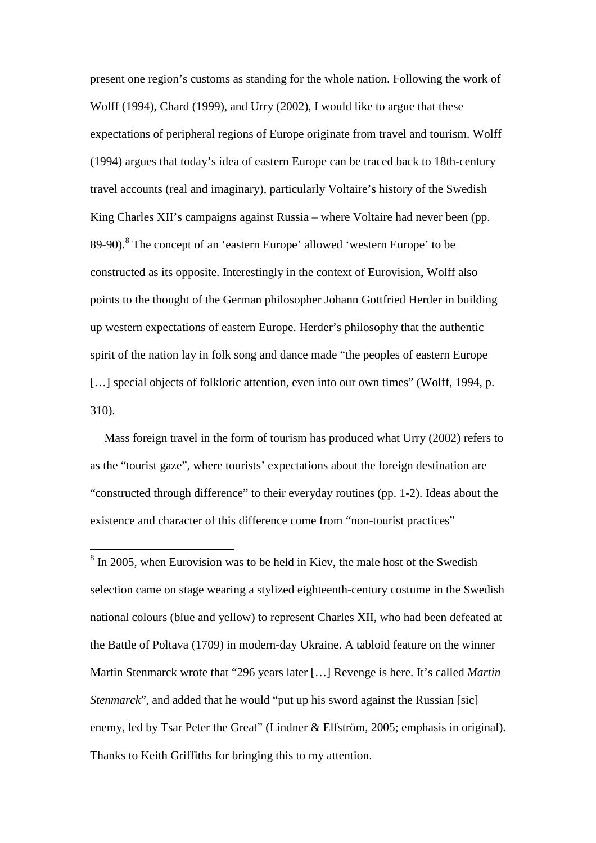present one region's customs as standing for the whole nation. Following the work of Wolff (1994), Chard (1999), and Urry (2002), I would like to argue that these expectations of peripheral regions of Europe originate from travel and tourism. Wolff (1994) argues that today's idea of eastern Europe can be traced back to 18th-century travel accounts (real and imaginary), particularly Voltaire's history of the Swedish King Charles XII's campaigns against Russia – where Voltaire had never been (pp. 89-90). [8](#page-16-0) The concept of an 'eastern Europe' allowed 'western Europe' to be constructed as its opposite. Interestingly in the context of Eurovision, Wolff also points to the thought of the German philosopher Johann Gottfried Herder in building up western expectations of eastern Europe. Herder's philosophy that the authentic spirit of the nation lay in folk song and dance made "the peoples of eastern Europe [...] special objects of folkloric attention, even into our own times" (Wolff, 1994, p. 310).

Mass foreign travel in the form of tourism has produced what Urry (2002) refers to as the "tourist gaze", where tourists' expectations about the foreign destination are "constructed through difference" to their everyday routines (pp. 1-2). Ideas about the existence and character of this difference come from "non-tourist practices"

<span id="page-16-0"></span> $8 \text{ In } 2005$ , when Eurovision was to be held in Kiev, the male host of the Swedish selection came on stage wearing a stylized eighteenth-century costume in the Swedish national colours (blue and yellow) to represent Charles XII, who had been defeated at the Battle of Poltava (1709) in modern-day Ukraine. A tabloid feature on the winner Martin Stenmarck wrote that "296 years later […] Revenge is here. It's called *Martin Stenmarck*", and added that he would "put up his sword against the Russian [sic] enemy, led by Tsar Peter the Great" (Lindner & Elfström, 2005; emphasis in original). Thanks to Keith Griffiths for bringing this to my attention.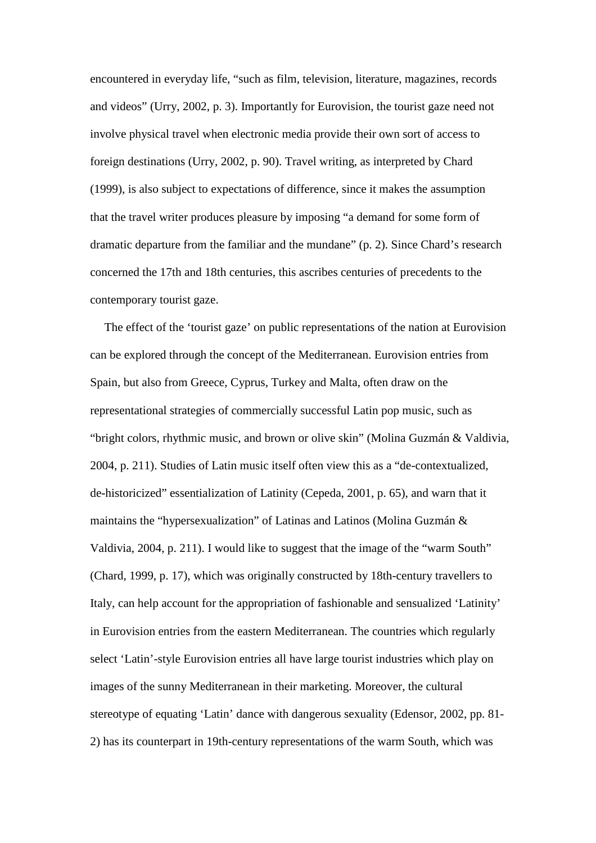encountered in everyday life, "such as film, television, literature, magazines, records and videos" (Urry, 2002, p. 3). Importantly for Eurovision, the tourist gaze need not involve physical travel when electronic media provide their own sort of access to foreign destinations (Urry, 2002, p. 90). Travel writing, as interpreted by Chard (1999), is also subject to expectations of difference, since it makes the assumption that the travel writer produces pleasure by imposing "a demand for some form of dramatic departure from the familiar and the mundane" (p. 2). Since Chard's research concerned the 17th and 18th centuries, this ascribes centuries of precedents to the contemporary tourist gaze.

The effect of the 'tourist gaze' on public representations of the nation at Eurovision can be explored through the concept of the Mediterranean. Eurovision entries from Spain, but also from Greece, Cyprus, Turkey and Malta, often draw on the representational strategies of commercially successful Latin pop music, such as "bright colors, rhythmic music, and brown or olive skin" (Molina Guzmán & Valdivia, 2004, p. 211). Studies of Latin music itself often view this as a "de-contextualized, de-historicized" essentialization of Latinity (Cepeda, 2001, p. 65), and warn that it maintains the "hypersexualization" of Latinas and Latinos (Molina Guzmán & Valdivia, 2004, p. 211). I would like to suggest that the image of the "warm South" (Chard, 1999, p. 17), which was originally constructed by 18th-century travellers to Italy, can help account for the appropriation of fashionable and sensualized 'Latinity' in Eurovision entries from the eastern Mediterranean. The countries which regularly select 'Latin'-style Eurovision entries all have large tourist industries which play on images of the sunny Mediterranean in their marketing. Moreover, the cultural stereotype of equating 'Latin' dance with dangerous sexuality (Edensor, 2002, pp. 81- 2) has its counterpart in 19th-century representations of the warm South, which was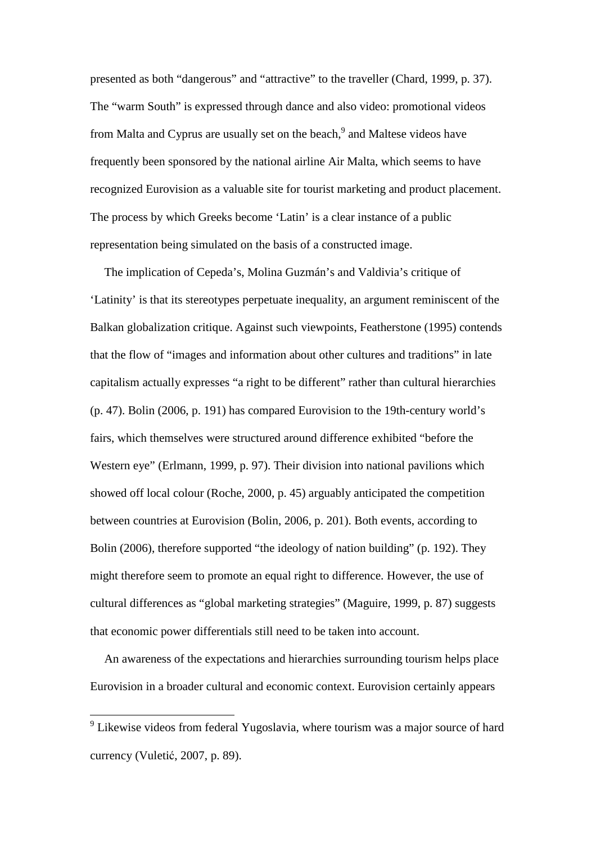presented as both "dangerous" and "attractive" to the traveller (Chard, 1999, p. 37). The "warm South" is expressed through dance and also video: promotional videos from Malta and Cyprus are usually set on the beach,<sup>[9](#page-18-0)</sup> and Maltese videos have frequently been sponsored by the national airline Air Malta, which seems to have recognized Eurovision as a valuable site for tourist marketing and product placement. The process by which Greeks become 'Latin' is a clear instance of a public representation being simulated on the basis of a constructed image.

The implication of Cepeda's, Molina Guzmán's and Valdivia's critique of 'Latinity' is that its stereotypes perpetuate inequality, an argument reminiscent of the Balkan globalization critique. Against such viewpoints, Featherstone (1995) contends that the flow of "images and information about other cultures and traditions" in late capitalism actually expresses "a right to be different" rather than cultural hierarchies (p. 47). Bolin (2006, p. 191) has compared Eurovision to the 19th-century world's fairs, which themselves were structured around difference exhibited "before the Western eye" (Erlmann, 1999, p. 97). Their division into national pavilions which showed off local colour (Roche, 2000, p. 45) arguably anticipated the competition between countries at Eurovision (Bolin, 2006, p. 201). Both events, according to Bolin (2006), therefore supported "the ideology of nation building" (p. 192). They might therefore seem to promote an equal right to difference. However, the use of cultural differences as "global marketing strategies" (Maguire, 1999, p. 87) suggests that economic power differentials still need to be taken into account.

An awareness of the expectations and hierarchies surrounding tourism helps place Eurovision in a broader cultural and economic context. Eurovision certainly appears

<span id="page-18-0"></span><sup>&</sup>lt;sup>9</sup> Likewise videos from federal Yugoslavia, where tourism was a major source of hard currency (Vuletić, 2007, p. 89).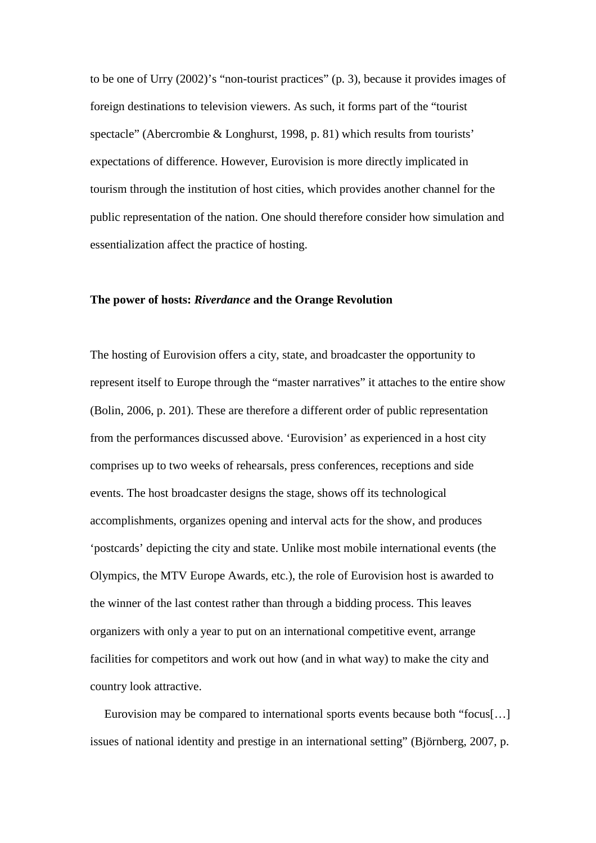to be one of Urry (2002)'s "non-tourist practices" (p. 3), because it provides images of foreign destinations to television viewers. As such, it forms part of the "tourist spectacle" (Abercrombie & Longhurst, 1998, p. 81) which results from tourists' expectations of difference. However, Eurovision is more directly implicated in tourism through the institution of host cities, which provides another channel for the public representation of the nation. One should therefore consider how simulation and essentialization affect the practice of hosting.

### **The power of hosts:** *Riverdance* **and the Orange Revolution**

The hosting of Eurovision offers a city, state, and broadcaster the opportunity to represent itself to Europe through the "master narratives" it attaches to the entire show (Bolin, 2006, p. 201). These are therefore a different order of public representation from the performances discussed above. 'Eurovision' as experienced in a host city comprises up to two weeks of rehearsals, press conferences, receptions and side events. The host broadcaster designs the stage, shows off its technological accomplishments, organizes opening and interval acts for the show, and produces 'postcards' depicting the city and state. Unlike most mobile international events (the Olympics, the MTV Europe Awards, etc.), the role of Eurovision host is awarded to the winner of the last contest rather than through a bidding process. This leaves organizers with only a year to put on an international competitive event, arrange facilities for competitors and work out how (and in what way) to make the city and country look attractive.

Eurovision may be compared to international sports events because both "focus[…] issues of national identity and prestige in an international setting" (Björnberg, 2007, p.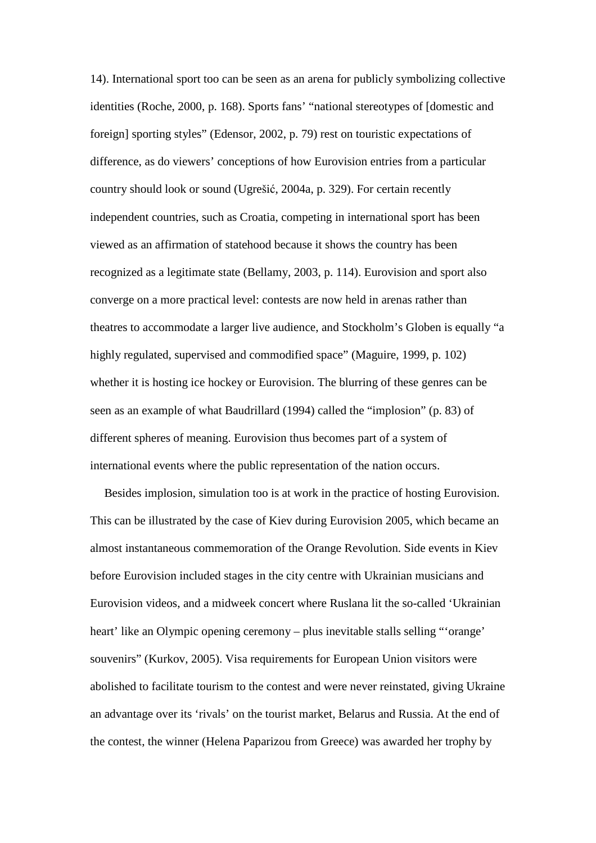14). International sport too can be seen as an arena for publicly symbolizing collective identities (Roche, 2000, p. 168). Sports fans' "national stereotypes of [domestic and foreign] sporting styles" (Edensor, 2002, p. 79) rest on touristic expectations of difference, as do viewers' conceptions of how Eurovision entries from a particular country should look or sound (Ugrešić, 2004a, p. 329). For certain recently independent countries, such as Croatia, competing in international sport has been viewed as an affirmation of statehood because it shows the country has been recognized as a legitimate state (Bellamy, 2003, p. 114). Eurovision and sport also converge on a more practical level: contests are now held in arenas rather than theatres to accommodate a larger live audience, and Stockholm's Globen is equally "a highly regulated, supervised and commodified space" (Maguire, 1999, p. 102) whether it is hosting ice hockey or Eurovision. The blurring of these genres can be seen as an example of what Baudrillard (1994) called the "implosion" (p. 83) of different spheres of meaning. Eurovision thus becomes part of a system of international events where the public representation of the nation occurs.

Besides implosion, simulation too is at work in the practice of hosting Eurovision. This can be illustrated by the case of Kiev during Eurovision 2005, which became an almost instantaneous commemoration of the Orange Revolution. Side events in Kiev before Eurovision included stages in the city centre with Ukrainian musicians and Eurovision videos, and a midweek concert where Ruslana lit the so-called 'Ukrainian heart' like an Olympic opening ceremony – plus inevitable stalls selling "'orange' souvenirs" (Kurkov, 2005). Visa requirements for European Union visitors were abolished to facilitate tourism to the contest and were never reinstated, giving Ukraine an advantage over its 'rivals' on the tourist market, Belarus and Russia. At the end of the contest, the winner (Helena Paparizou from Greece) was awarded her trophy by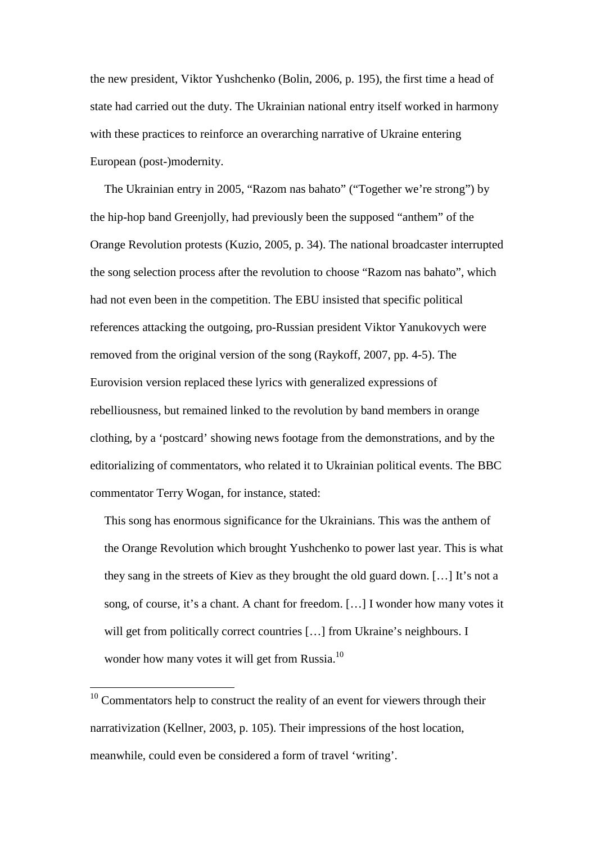the new president, Viktor Yushchenko (Bolin, 2006, p. 195), the first time a head of state had carried out the duty. The Ukrainian national entry itself worked in harmony with these practices to reinforce an overarching narrative of Ukraine entering European (post-)modernity.

The Ukrainian entry in 2005, "Razom nas bahato" ("Together we're strong") by the hip-hop band Greenjolly, had previously been the supposed "anthem" of the Orange Revolution protests (Kuzio, 2005, p. 34). The national broadcaster interrupted the song selection process after the revolution to choose "Razom nas bahato", which had not even been in the competition. The EBU insisted that specific political references attacking the outgoing, pro-Russian president Viktor Yanukovych were removed from the original version of the song (Raykoff, 2007, pp. 4-5). The Eurovision version replaced these lyrics with generalized expressions of rebelliousness, but remained linked to the revolution by band members in orange clothing, by a 'postcard' showing news footage from the demonstrations, and by the editorializing of commentators, who related it to Ukrainian political events. The BBC commentator Terry Wogan, for instance, stated:

This song has enormous significance for the Ukrainians. This was the anthem of the Orange Revolution which brought Yushchenko to power last year. This is what they sang in the streets of Kiev as they brought the old guard down. […] It's not a song, of course, it's a chant. A chant for freedom. […] I wonder how many votes it will get from politically correct countries [...] from Ukraine's neighbours. I wonder how many votes it will get from Russia.<sup>[10](#page-21-0)</sup>

<span id="page-21-0"></span><sup>&</sup>lt;sup>10</sup> Commentators help to construct the reality of an event for viewers through their narrativization (Kellner, 2003, p. 105). Their impressions of the host location, meanwhile, could even be considered a form of travel 'writing'.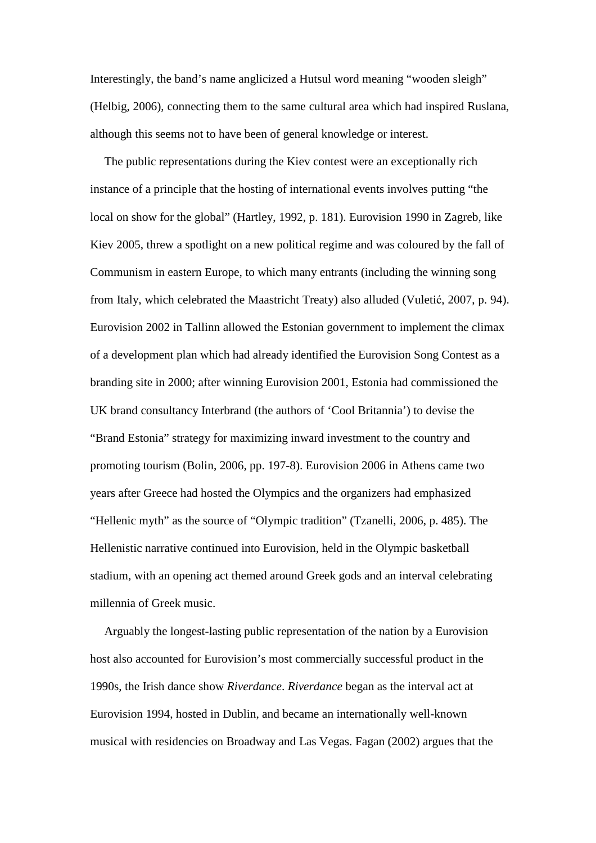Interestingly, the band's name anglicized a Hutsul word meaning "wooden sleigh" (Helbig, 2006), connecting them to the same cultural area which had inspired Ruslana, although this seems not to have been of general knowledge or interest.

The public representations during the Kiev contest were an exceptionally rich instance of a principle that the hosting of international events involves putting "the local on show for the global" (Hartley, 1992, p. 181). Eurovision 1990 in Zagreb, like Kiev 2005, threw a spotlight on a new political regime and was coloured by the fall of Communism in eastern Europe, to which many entrants (including the winning song from Italy, which celebrated the Maastricht Treaty) also alluded (Vuletić, 2007, p. 94). Eurovision 2002 in Tallinn allowed the Estonian government to implement the climax of a development plan which had already identified the Eurovision Song Contest as a branding site in 2000; after winning Eurovision 2001, Estonia had commissioned the UK brand consultancy Interbrand (the authors of 'Cool Britannia') to devise the "Brand Estonia" strategy for maximizing inward investment to the country and promoting tourism (Bolin, 2006, pp. 197-8). Eurovision 2006 in Athens came two years after Greece had hosted the Olympics and the organizers had emphasized "Hellenic myth" as the source of "Olympic tradition" (Tzanelli, 2006, p. 485). The Hellenistic narrative continued into Eurovision, held in the Olympic basketball stadium, with an opening act themed around Greek gods and an interval celebrating millennia of Greek music.

Arguably the longest-lasting public representation of the nation by a Eurovision host also accounted for Eurovision's most commercially successful product in the 1990s, the Irish dance show *Riverdance*. *Riverdance* began as the interval act at Eurovision 1994, hosted in Dublin, and became an internationally well-known musical with residencies on Broadway and Las Vegas. Fagan (2002) argues that the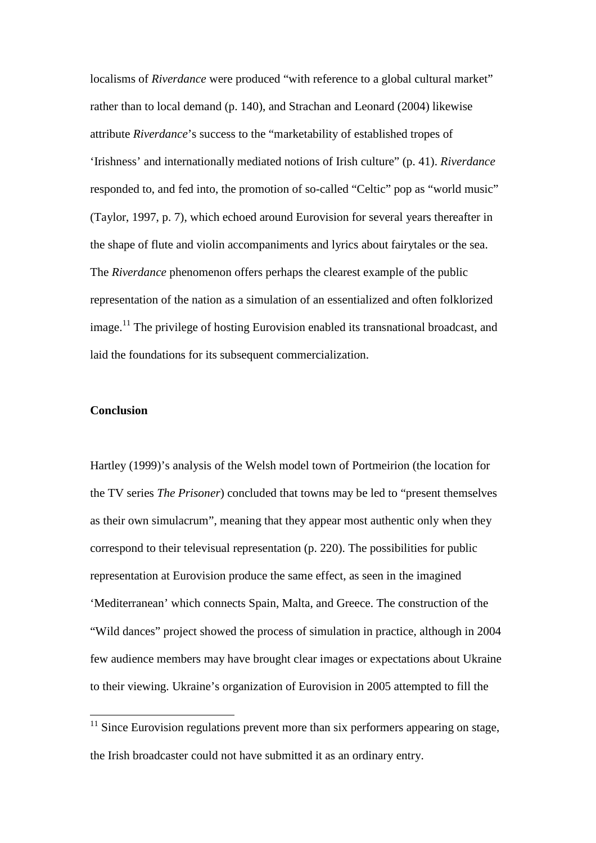localisms of *Riverdance* were produced "with reference to a global cultural market" rather than to local demand (p. 140), and Strachan and Leonard (2004) likewise attribute *Riverdance*'s success to the "marketability of established tropes of 'Irishness' and internationally mediated notions of Irish culture" (p. 41). *Riverdance* responded to, and fed into, the promotion of so-called "Celtic" pop as "world music" (Taylor, 1997, p. 7), which echoed around Eurovision for several years thereafter in the shape of flute and violin accompaniments and lyrics about fairytales or the sea. The *Riverdance* phenomenon offers perhaps the clearest example of the public representation of the nation as a simulation of an essentialized and often folklorized image.[11](#page-23-0) The privilege of hosting Eurovision enabled its transnational broadcast, and laid the foundations for its subsequent commercialization.

## **Conclusion**

Hartley (1999)'s analysis of the Welsh model town of Portmeirion (the location for the TV series *The Prisoner*) concluded that towns may be led to "present themselves as their own simulacrum", meaning that they appear most authentic only when they correspond to their televisual representation (p. 220). The possibilities for public representation at Eurovision produce the same effect, as seen in the imagined 'Mediterranean' which connects Spain, Malta, and Greece. The construction of the "Wild dances" project showed the process of simulation in practice, although in 2004 few audience members may have brought clear images or expectations about Ukraine to their viewing. Ukraine's organization of Eurovision in 2005 attempted to fill the

<span id="page-23-0"></span> $11$  Since Eurovision regulations prevent more than six performers appearing on stage, the Irish broadcaster could not have submitted it as an ordinary entry.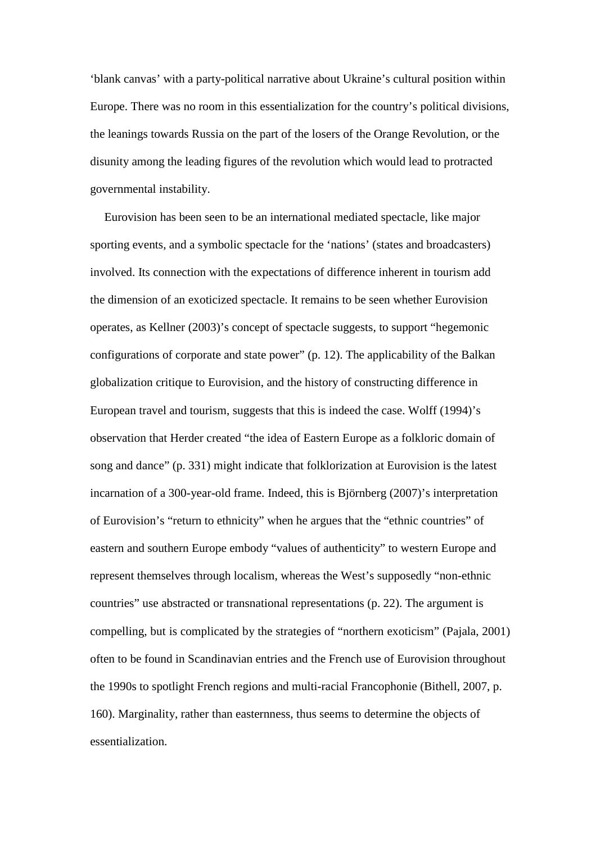'blank canvas' with a party-political narrative about Ukraine's cultural position within Europe. There was no room in this essentialization for the country's political divisions, the leanings towards Russia on the part of the losers of the Orange Revolution, or the disunity among the leading figures of the revolution which would lead to protracted governmental instability.

Eurovision has been seen to be an international mediated spectacle, like major sporting events, and a symbolic spectacle for the 'nations' (states and broadcasters) involved. Its connection with the expectations of difference inherent in tourism add the dimension of an exoticized spectacle. It remains to be seen whether Eurovision operates, as Kellner (2003)'s concept of spectacle suggests, to support "hegemonic configurations of corporate and state power" (p. 12). The applicability of the Balkan globalization critique to Eurovision, and the history of constructing difference in European travel and tourism, suggests that this is indeed the case. Wolff (1994)'s observation that Herder created "the idea of Eastern Europe as a folkloric domain of song and dance" (p. 331) might indicate that folklorization at Eurovision is the latest incarnation of a 300-year-old frame. Indeed, this is Björnberg (2007)'s interpretation of Eurovision's "return to ethnicity" when he argues that the "ethnic countries" of eastern and southern Europe embody "values of authenticity" to western Europe and represent themselves through localism, whereas the West's supposedly "non-ethnic countries" use abstracted or transnational representations (p. 22). The argument is compelling, but is complicated by the strategies of "northern exoticism" (Pajala, 2001) often to be found in Scandinavian entries and the French use of Eurovision throughout the 1990s to spotlight French regions and multi-racial Francophonie (Bithell, 2007, p. 160). Marginality, rather than easternness, thus seems to determine the objects of essentialization.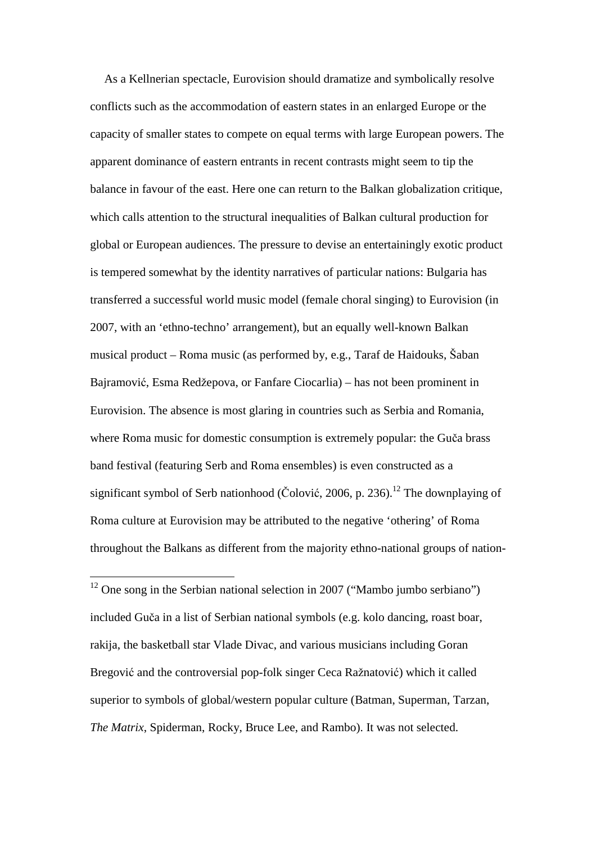As a Kellnerian spectacle, Eurovision should dramatize and symbolically resolve conflicts such as the accommodation of eastern states in an enlarged Europe or the capacity of smaller states to compete on equal terms with large European powers. The apparent dominance of eastern entrants in recent contrasts might seem to tip the balance in favour of the east. Here one can return to the Balkan globalization critique, which calls attention to the structural inequalities of Balkan cultural production for global or European audiences. The pressure to devise an entertainingly exotic product is tempered somewhat by the identity narratives of particular nations: Bulgaria has transferred a successful world music model (female choral singing) to Eurovision (in 2007, with an 'ethno-techno' arrangement), but an equally well-known Balkan musical product – Roma music (as performed by, e.g., Taraf de Haidouks, Šaban Bajramović, Esma Redžepova, or Fanfare Ciocarlia) – has not been prominent in Eurovision. The absence is most glaring in countries such as Serbia and Romania, where Roma music for domestic consumption is extremely popular: the Guča brass band festival (featuring Serb and Roma ensembles) is even constructed as a significantsymbol of Serb nationhood (Čolović, 2006, p. 236).<sup>12</sup> The downplaying of Roma culture at Eurovision may be attributed to the negative 'othering' of Roma throughout the Balkans as different from the majority ethno-national groups of nation-

<span id="page-25-0"></span><sup>12</sup> One song in the Serbian national selection in 2007 ("Mambo jumbo serbiano") included Guča in a list of Serbian national symbols (e.g. kolo dancing, roast boar, rakija, the basketball star Vlade Divac, and various musicians including Goran Bregović and the controversial pop-folk singer Ceca Ražnatović) which it called superior to symbols of global/western popular culture (Batman, Superman, Tarzan, *The Matrix*, Spiderman, Rocky, Bruce Lee, and Rambo). It was not selected.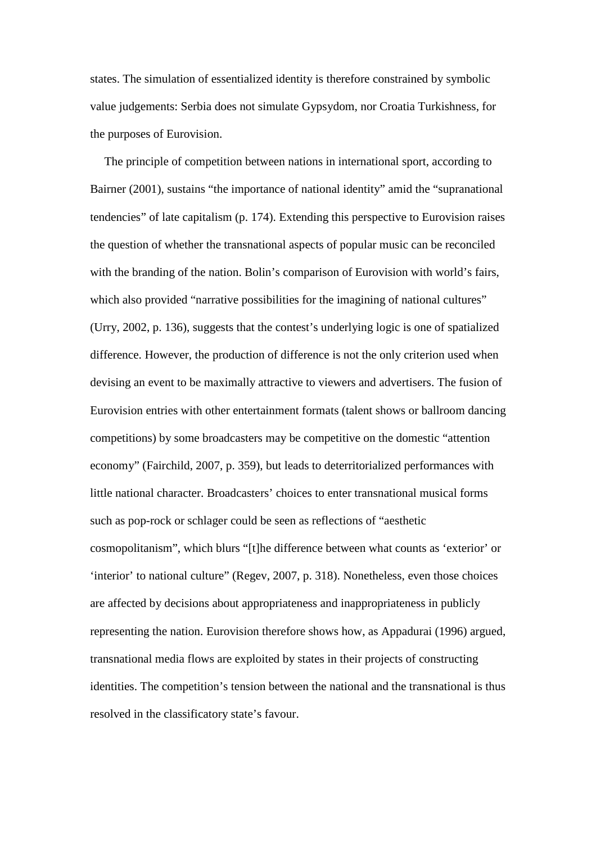states. The simulation of essentialized identity is therefore constrained by symbolic value judgements: Serbia does not simulate Gypsydom, nor Croatia Turkishness, for the purposes of Eurovision.

The principle of competition between nations in international sport, according to Bairner (2001), sustains "the importance of national identity" amid the "supranational tendencies" of late capitalism (p. 174). Extending this perspective to Eurovision raises the question of whether the transnational aspects of popular music can be reconciled with the branding of the nation. Bolin's comparison of Eurovision with world's fairs, which also provided "narrative possibilities for the imagining of national cultures" (Urry, 2002, p. 136), suggests that the contest's underlying logic is one of spatialized difference. However, the production of difference is not the only criterion used when devising an event to be maximally attractive to viewers and advertisers. The fusion of Eurovision entries with other entertainment formats (talent shows or ballroom dancing competitions) by some broadcasters may be competitive on the domestic "attention economy" (Fairchild, 2007, p. 359), but leads to deterritorialized performances with little national character. Broadcasters' choices to enter transnational musical forms such as pop-rock or schlager could be seen as reflections of "aesthetic cosmopolitanism", which blurs "[t]he difference between what counts as 'exterior' or 'interior' to national culture" (Regev, 2007, p. 318). Nonetheless, even those choices are affected by decisions about appropriateness and inappropriateness in publicly representing the nation. Eurovision therefore shows how, as Appadurai (1996) argued, transnational media flows are exploited by states in their projects of constructing identities. The competition's tension between the national and the transnational is thus resolved in the classificatory state's favour.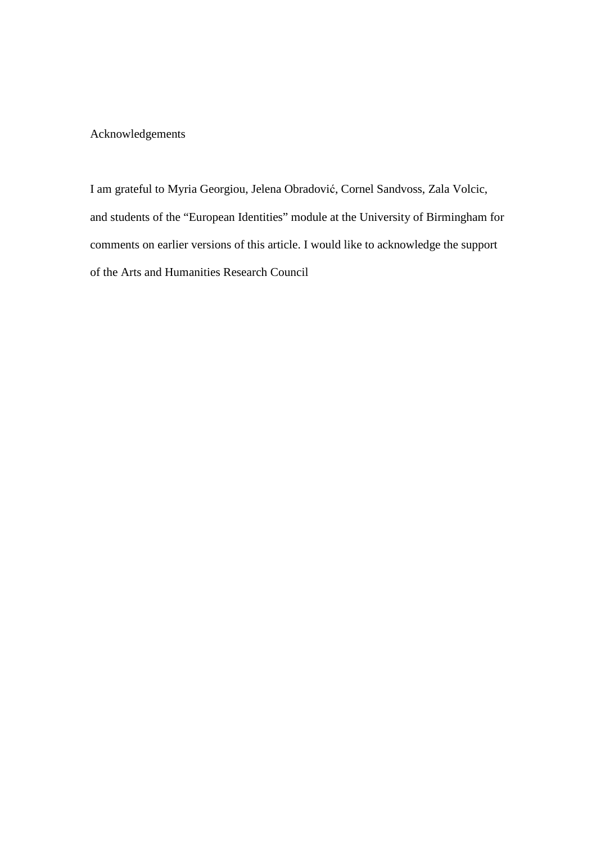Acknowledgements

I am grateful to Myria Georgiou, Jelena Obradović, Cornel Sandvoss, Zala Volcic, and students of the "European Identities" module at the University of Birmingham for comments on earlier versions of this article. I would like to acknowledge the support of the Arts and Humanities Research Council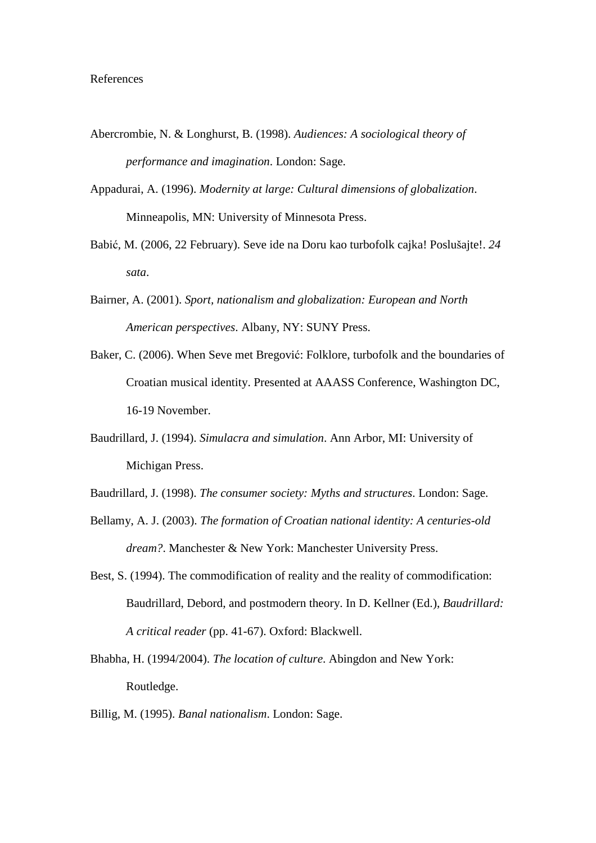Abercrombie, N. & Longhurst, B. (1998). *Audiences: A sociological theory of performance and imagination*. London: Sage.

Appadurai, A. (1996). *Modernity at large: Cultural dimensions of globalization*. Minneapolis, MN: University of Minnesota Press.

- Babić, M. (2006, 22 February). Seve ide na Doru kao turbofolk cajka! Poslušajte!. *24 sata*.
- Bairner, A. (2001). *Sport, nationalism and globalization: European and North American perspectives*. Albany, NY: SUNY Press.
- Baker, C. (2006). When Seve met Bregović: Folklore, turbofolk and the boundaries of Croatian musical identity. Presented at AAASS Conference, Washington DC, 16-19 November.
- Baudrillard, J. (1994). *Simulacra and simulation*. Ann Arbor, MI: University of Michigan Press.
- Baudrillard, J. (1998). *The consumer society: Myths and structures*. London: Sage.
- Bellamy, A. J. (2003). *The formation of Croatian national identity: A centuries-old dream?*. Manchester & New York: Manchester University Press.
- Best, S. (1994). The commodification of reality and the reality of commodification: Baudrillard, Debord, and postmodern theory. In D. Kellner (Ed.), *Baudrillard: A critical reader* (pp. 41-67). Oxford: Blackwell.
- Bhabha, H. (1994/2004). *The location of culture*. Abingdon and New York: Routledge.
- Billig, M. (1995). *Banal nationalism*. London: Sage.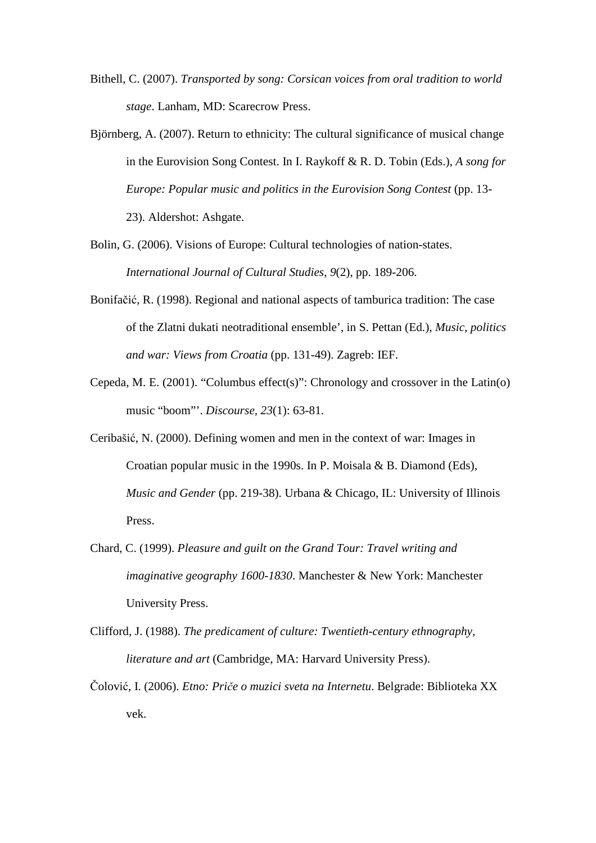- Bithell, C. (2007). *Transported by song: Corsican voices from oral tradition to world stage*. Lanham, MD: Scarecrow Press.
- Björnberg, A. (2007). Return to ethnicity: The cultural significance of musical change in the Eurovision Song Contest. In I. Raykoff & R. D. Tobin (Eds.), *A song for Europe: Popular music and politics in the Eurovision Song Contest* (pp. 13- 23). Aldershot: Ashgate.
- Bolin, G. (2006). Visions of Europe: Cultural technologies of nation-states. *International Journal of Cultural Studies*, *9*(2), pp. 189-206.
- Bonifačić, R. (1998). Regional and national aspects of tamburica tradition: The case of the Zlatni dukati neotraditional ensemble', in S. Pettan (Ed.), *Music, politics and war: Views from Croatia* (pp. 131-49). Zagreb: IEF.
- Cepeda, M. E. (2001). "Columbus effect(s)": Chronology and crossover in the Latin(o) music "boom"'. *Discourse, 23*(1): 63-81.
- Ceribašić, N. (2000). Defining women and men in the context of war: Images in Croatian popular music in the 1990s. In P. Moisala & B. Diamond (Eds), *Music and Gender* (pp. 219-38). Urbana & Chicago, IL: University of Illinois Press.
- Chard, C. (1999). *Pleasure and guilt on the Grand Tour: Travel writing and imaginative geography 1600-1830*. Manchester & New York: Manchester University Press.
- Clifford, J. (1988). *The predicament of culture: Twentieth-century ethnography, literature and art* (Cambridge, MA: Harvard University Press).
- Čolović, I. (2006). *Etno: Priče o muzici sveta na Internetu*. Belgrade: Biblioteka XX vek.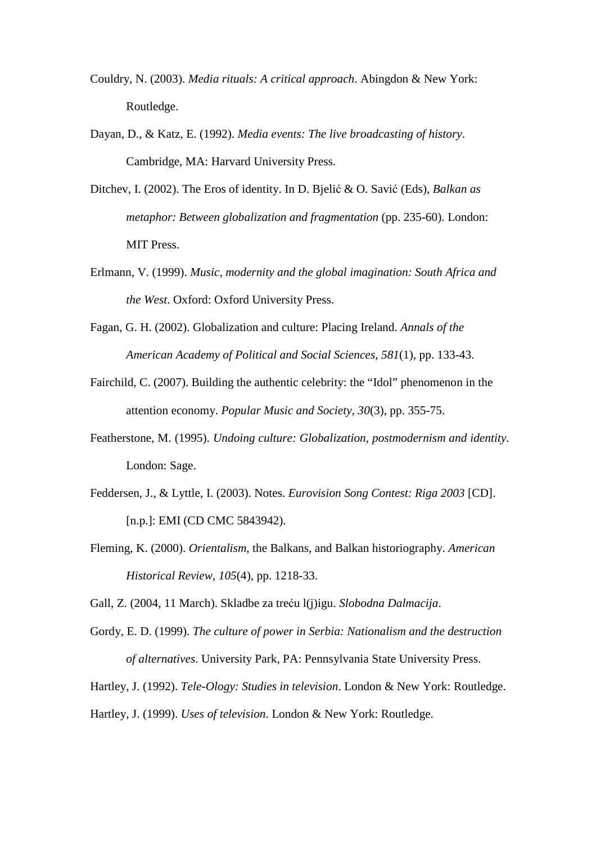- Couldry, N. (2003). *Media rituals: A critical approach*. Abingdon & New York: Routledge.
- Dayan, D., & Katz, E. (1992). *Media events: The live broadcasting of history*. Cambridge, MA: Harvard University Press.
- Ditchev, I. (2002). The Eros of identity. In D. Bjelić & O. Savić (Eds), *Balkan as metaphor: Between globalization and fragmentation* (pp. 235-60). London: MIT Press.
- Erlmann, V. (1999). *Music, modernity and the global imagination: South Africa and the West*. Oxford: Oxford University Press.
- Fagan, G. H. (2002). Globalization and culture: Placing Ireland. *Annals of the American Academy of Political and Social Sciences, 581*(1), pp. 133-43.
- Fairchild, C. (2007). Building the authentic celebrity: the "Idol" phenomenon in the attention economy. *Popular Music and Society, 30*(3), pp. 355-75.
- Featherstone, M. (1995). *Undoing culture: Globalization, postmodernism and identity*. London: Sage.
- Feddersen, J., & Lyttle, I. (2003). Notes. *Eurovision Song Contest: Riga 2003* [CD]. [n.p.]: EMI (CD CMC 5843942).
- Fleming, K. (2000). *Orientalism*, the Balkans, and Balkan historiography. *American Historical Review, 105*(4), pp. 1218-33.
- Gall, Z. (2004, 11 March). Skladbe za treću l(j)igu. *Slobodna Dalmacija*.
- Gordy, E. D. (1999). *The culture of power in Serbia: Nationalism and the destruction of alternatives*. University Park, PA: Pennsylvania State University Press.
- Hartley, J. (1992). *Tele-Ology: Studies in television*. London & New York: Routledge.
- Hartley, J. (1999). *Uses of television*. London & New York: Routledge.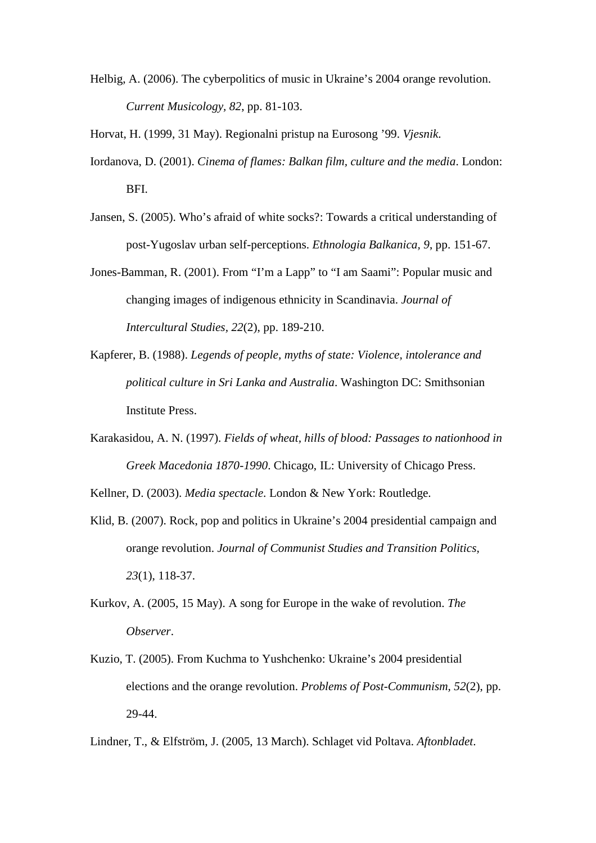Helbig, A. (2006). The cyberpolitics of music in Ukraine's 2004 orange revolution. *Current Musicology, 82*, pp. 81-103.

Horvat, H. (1999, 31 May). Regionalni pristup na Eurosong '99. *Vjesnik*.

- Iordanova, D. (2001). *Cinema of flames: Balkan film, culture and the media*. London: BFI.
- Jansen, S. (2005). Who's afraid of white socks?: Towards a critical understanding of post-Yugoslav urban self-perceptions. *Ethnologia Balkanica, 9*, pp. 151-67.
- Jones-Bamman, R. (2001). From "I'm a Lapp" to "I am Saami": Popular music and changing images of indigenous ethnicity in Scandinavia. *Journal of Intercultural Studies, 22*(2), pp. 189-210.
- Kapferer, B. (1988). *Legends of people, myths of state: Violence, intolerance and political culture in Sri Lanka and Australia*. Washington DC: Smithsonian Institute Press.
- Karakasidou, A. N. (1997). *Fields of wheat, hills of blood: Passages to nationhood in Greek Macedonia 1870-1990*. Chicago, IL: University of Chicago Press.

Kellner, D. (2003). *Media spectacle*. London & New York: Routledge.

- Klid, B. (2007). Rock, pop and politics in Ukraine's 2004 presidential campaign and orange revolution. *Journal of Communist Studies and Transition Politics, 23*(1), 118-37.
- Kurkov, A. (2005, 15 May). A song for Europe in the wake of revolution. *The Observer*.
- Kuzio, T. (2005). From Kuchma to Yushchenko: Ukraine's 2004 presidential elections and the orange revolution. *Problems of Post-Communism, 52*(2), pp. 29-44.

Lindner, T., & Elfström, J. (2005, 13 March). Schlaget vid Poltava. *Aftonbladet*.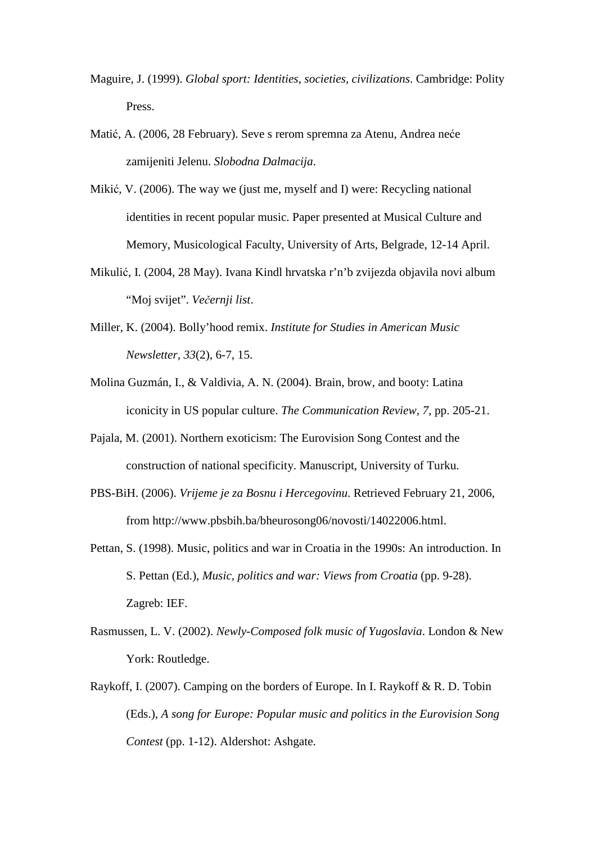- Maguire, J. (1999). *Global sport: Identities, societies, civilizations*. Cambridge: Polity Press.
- Matić, A. (2006, 28 February). Seve s rerom spremna za Atenu, Andrea neće zamijeniti Jelenu. *Slobodna Dalmacija*.
- Mikić, V. (2006). The way we (just me, myself and I) were: Recycling national identities in recent popular music. Paper presented at Musical Culture and Memory, Musicological Faculty, University of Arts, Belgrade, 12-14 April.
- Mikulić, I. (2004, 28 May). Ivana Kindl hrvatska r'n'b zvijezda objavila novi album "Moj svijet". *Večernji list*.
- Miller, K. (2004). Bolly'hood remix. *Institute for Studies in American Music Newsletter, 33*(2), 6-7, 15.
- Molina Guzmán, I., & Valdivia, A. N. (2004). Brain, brow, and booty: Latina iconicity in US popular culture. *The Communication Review, 7*, pp. 205-21.
- Pajala, M. (2001). Northern exoticism: The Eurovision Song Contest and the construction of national specificity. Manuscript, University of Turku.
- PBS-BiH. (2006). *Vrijeme je za Bosnu i Hercegovinu*. Retrieved February 21, 2006, from http://www.pbsbih.ba/bheurosong06/novosti/14022006.html.
- Pettan, S. (1998). Music, politics and war in Croatia in the 1990s: An introduction. In S. Pettan (Ed.), *Music, politics and war: Views from Croatia* (pp. 9-28). Zagreb: IEF.
- Rasmussen, L. V. (2002). *Newly-Composed folk music of Yugoslavia*. London & New York: Routledge.
- Raykoff, I. (2007). Camping on the borders of Europe. In I. Raykoff & R. D. Tobin (Eds.), *A song for Europe: Popular music and politics in the Eurovision Song Contest* (pp. 1-12). Aldershot: Ashgate.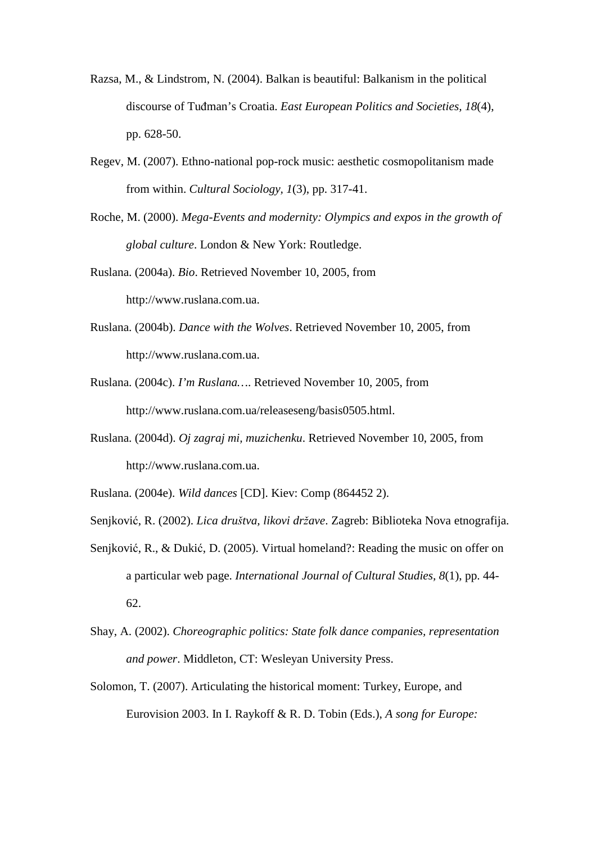- Razsa, M., & Lindstrom, N. (2004). Balkan is beautiful: Balkanism in the political discourse of Tuđman's Croatia. *East European Politics and Societies, 18*(4), pp. 628-50.
- Regev, M. (2007). Ethno-national pop-rock music: aesthetic cosmopolitanism made from within. *Cultural Sociology, 1*(3), pp. 317-41.
- Roche, M. (2000). *Mega-Events and modernity: Olympics and expos in the growth of global culture*. London & New York: Routledge.
- Ruslana. (2004a). *Bio*. Retrieved November 10, 2005, from http://www.ruslana.com.ua.
- Ruslana. (2004b). *Dance with the Wolves*. Retrieved November 10, 2005, from http://www.ruslana.com.ua.
- Ruslana. (2004c). *I'm Ruslana…*. Retrieved November 10, 2005, from http://www.ruslana.com.ua/releaseseng/basis0505.html.
- Ruslana. (2004d). *Oj zagraj mi, muzichenku*. Retrieved November 10, 2005, from http://www.ruslana.com.ua.
- Ruslana. (2004e). *Wild dances* [CD]. Kiev: Comp (864452 2).
- Senjković, R. (2002). *Lica društva, likovi države*. Zagreb: Biblioteka Nova etnografija.
- Senjković, R., & Dukić, D. (2005). Virtual homeland?: Reading the music on offer on a particular web page. *International Journal of Cultural Studies, 8*(1), pp. 44- 62.
- Shay, A. (2002). *Choreographic politics: State folk dance companies, representation and power*. Middleton, CT: Wesleyan University Press.
- Solomon, T. (2007). Articulating the historical moment: Turkey, Europe, and Eurovision 2003. In I. Raykoff & R. D. Tobin (Eds.), *A song for Europe:*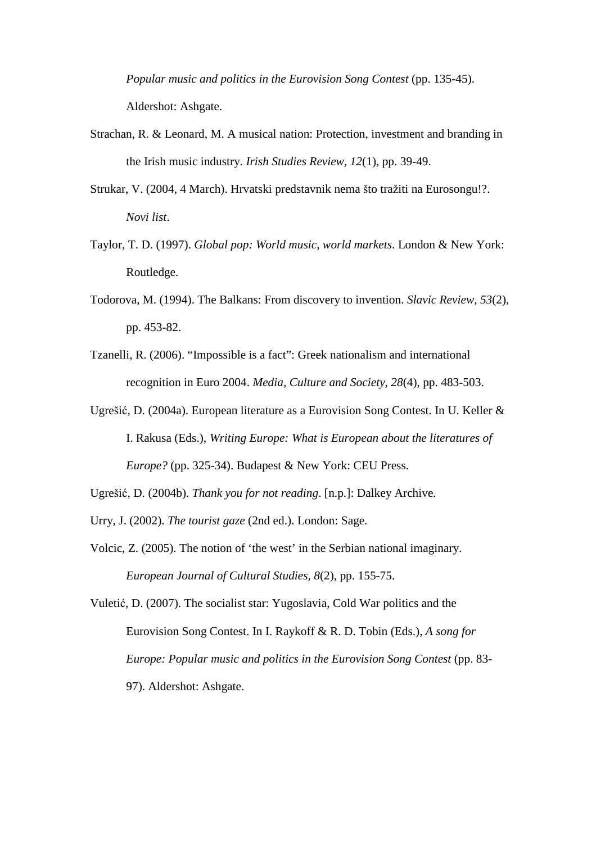*Popular music and politics in the Eurovision Song Contest* (pp. 135-45). Aldershot: Ashgate.

- Strachan, R. & Leonard, M. A musical nation: Protection, investment and branding in the Irish music industry. *Irish Studies Review, 12*(1), pp. 39-49.
- Strukar, V. (2004, 4 March). Hrvatski predstavnik nema što tražiti na Eurosongu!?. *Novi list*.
- Taylor, T. D. (1997). *Global pop: World music, world markets*. London & New York: Routledge.
- Todorova, M. (1994). The Balkans: From discovery to invention. *Slavic Review, 53*(2), pp. 453-82.
- Tzanelli, R. (2006). "Impossible is a fact": Greek nationalism and international recognition in Euro 2004. *Media, Culture and Society*, *28*(4), pp. 483-503.
- Ugrešić, D. (2004a). European literature as a Eurovision Song Contest. In U. Keller & I. Rakusa (Eds.), *Writing Europe: What is European about the literatures of Europe?* (pp. 325-34). Budapest & New York: CEU Press.
- Ugrešić, D. (2004b). *Thank you for not reading*. [n.p.]: Dalkey Archive.
- Urry, J. (2002). *The tourist gaze* (2nd ed.). London: Sage.
- Volcic, Z. (2005). The notion of 'the west' in the Serbian national imaginary. *European Journal of Cultural Studies, 8*(2), pp. 155-75.
- Vuletić, D. (2007). The socialist star: Yugoslavia, Cold War politics and the Eurovision Song Contest. In I. Raykoff & R. D. Tobin (Eds.), *A song for Europe: Popular music and politics in the Eurovision Song Contest* (pp. 83- 97). Aldershot: Ashgate.